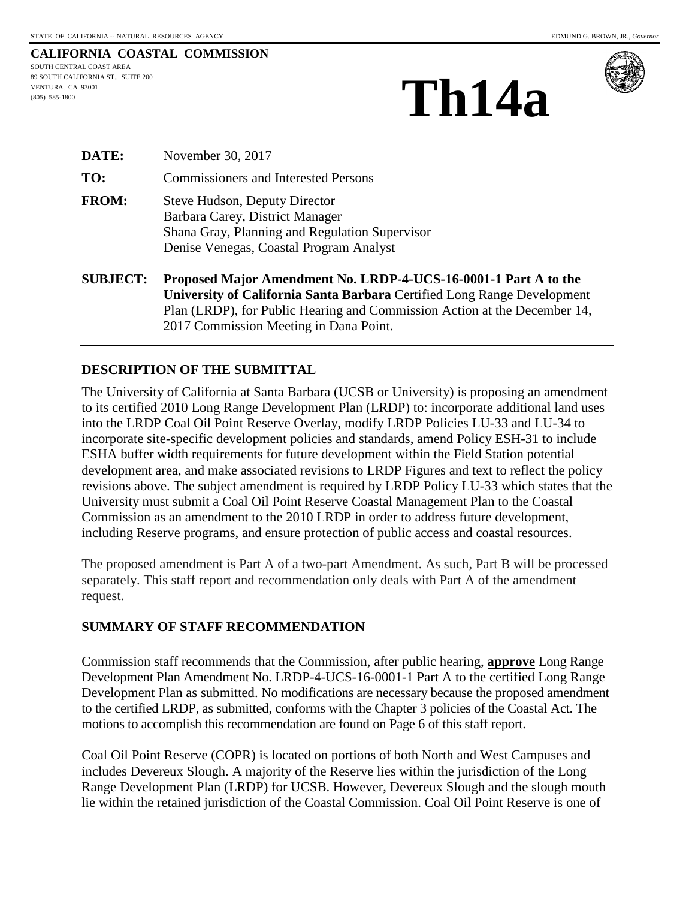SOUTH CENTRAL COAST AREA 89 SOUTH CALIFORNIA ST., SUITE 200 VENTURA, CA 93001 (805) 585-1800





| <b>SUBJECT:</b> | Proposed Major Amendment No. LRDP-4-UCS-16-0001-1 F                                       |  |  |
|-----------------|-------------------------------------------------------------------------------------------|--|--|
|                 | Shana Gray, Planning and Regulation Supervisor<br>Denise Venegas, Coastal Program Analyst |  |  |
| <b>FROM:</b>    | <b>Steve Hudson, Deputy Director</b><br>Barbara Carey, District Manager                   |  |  |
| TO:             | <b>Commissioners and Interested Persons</b>                                               |  |  |
| <b>DATE:</b>    | November 30, 2017                                                                         |  |  |

Part A to the **University of California Santa Barbara** Certified Long Range Development Plan (LRDP), for Public Hearing and Commission Action at the December 14, 2017 Commission Meeting in Dana Point.

#### **DESCRIPTION OF THE SUBMITTAL**

The University of California at Santa Barbara (UCSB or University) is proposing an amendment to its certified 2010 Long Range Development Plan (LRDP) to: incorporate additional land uses into the LRDP Coal Oil Point Reserve Overlay, modify LRDP Policies LU-33 and LU-34 to incorporate site-specific development policies and standards, amend Policy ESH-31 to include ESHA buffer width requirements for future development within the Field Station potential development area, and make associated revisions to LRDP Figures and text to reflect the policy revisions above. The subject amendment is required by LRDP Policy LU-33 which states that the University must submit a Coal Oil Point Reserve Coastal Management Plan to the Coastal Commission as an amendment to the 2010 LRDP in order to address future development, including Reserve programs, and ensure protection of public access and coastal resources.

The proposed amendment is Part A of a two-part Amendment. As such, Part B will be processed separately. This staff report and recommendation only deals with Part A of the amendment request.

#### **SUMMARY OF STAFF RECOMMENDATION**

Commission staff recommends that the Commission, after public hearing, **approve** Long Range Development Plan Amendment No. LRDP-4-UCS-16-0001-1 Part A to the certified Long Range Development Plan as submitted. No modifications are necessary because the proposed amendment to the certified LRDP, as submitted, conforms with the Chapter 3 policies of the Coastal Act. The motions to accomplish this recommendation are found on Page 6 of this staff report.

Coal Oil Point Reserve (COPR) is located on portions of both North and West Campuses and includes Devereux Slough. A majority of the Reserve lies within the jurisdiction of the Long Range Development Plan (LRDP) for UCSB. However, Devereux Slough and the slough mouth lie within the retained jurisdiction of the Coastal Commission. Coal Oil Point Reserve is one of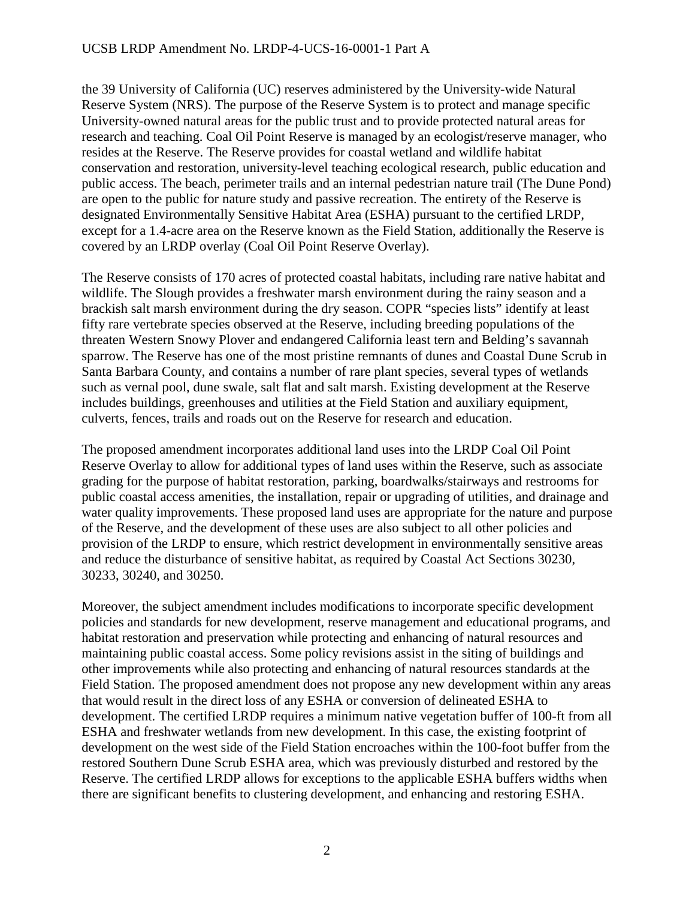the 39 University of California (UC) reserves administered by the University-wide Natural Reserve System (NRS). The purpose of the Reserve System is to protect and manage specific University-owned natural areas for the public trust and to provide protected natural areas for research and teaching. Coal Oil Point Reserve is managed by an ecologist/reserve manager, who resides at the Reserve. The Reserve provides for coastal wetland and wildlife habitat conservation and restoration, university-level teaching ecological research, public education and public access. The beach, perimeter trails and an internal pedestrian nature trail (The Dune Pond) are open to the public for nature study and passive recreation. The entirety of the Reserve is designated Environmentally Sensitive Habitat Area (ESHA) pursuant to the certified LRDP, except for a 1.4-acre area on the Reserve known as the Field Station, additionally the Reserve is covered by an LRDP overlay (Coal Oil Point Reserve Overlay).

The Reserve consists of 170 acres of protected coastal habitats, including rare native habitat and wildlife. The Slough provides a freshwater marsh environment during the rainy season and a brackish salt marsh environment during the dry season. COPR "species lists" identify at least fifty rare vertebrate species observed at the Reserve, including breeding populations of the threaten Western Snowy Plover and endangered California least tern and Belding's savannah sparrow. The Reserve has one of the most pristine remnants of dunes and Coastal Dune Scrub in Santa Barbara County, and contains a number of rare plant species, several types of wetlands such as vernal pool, dune swale, salt flat and salt marsh. Existing development at the Reserve includes buildings, greenhouses and utilities at the Field Station and auxiliary equipment, culverts, fences, trails and roads out on the Reserve for research and education.

The proposed amendment incorporates additional land uses into the LRDP Coal Oil Point Reserve Overlay to allow for additional types of land uses within the Reserve, such as associate grading for the purpose of habitat restoration, parking, boardwalks/stairways and restrooms for public coastal access amenities, the installation, repair or upgrading of utilities, and drainage and water quality improvements. These proposed land uses are appropriate for the nature and purpose of the Reserve, and the development of these uses are also subject to all other policies and provision of the LRDP to ensure, which restrict development in environmentally sensitive areas and reduce the disturbance of sensitive habitat, as required by Coastal Act Sections 30230, 30233, 30240, and 30250.

Moreover, the subject amendment includes modifications to incorporate specific development policies and standards for new development, reserve management and educational programs, and habitat restoration and preservation while protecting and enhancing of natural resources and maintaining public coastal access. Some policy revisions assist in the siting of buildings and other improvements while also protecting and enhancing of natural resources standards at the Field Station. The proposed amendment does not propose any new development within any areas that would result in the direct loss of any ESHA or conversion of delineated ESHA to development. The certified LRDP requires a minimum native vegetation buffer of 100-ft from all ESHA and freshwater wetlands from new development. In this case, the existing footprint of development on the west side of the Field Station encroaches within the 100-foot buffer from the restored Southern Dune Scrub ESHA area, which was previously disturbed and restored by the Reserve. The certified LRDP allows for exceptions to the applicable ESHA buffers widths when there are significant benefits to clustering development, and enhancing and restoring ESHA.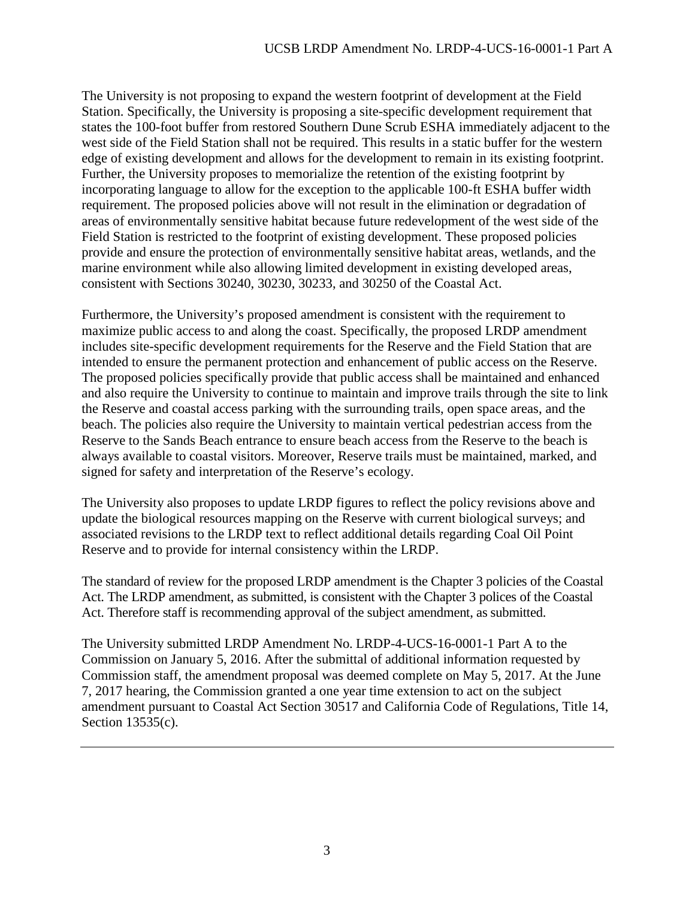The University is not proposing to expand the western footprint of development at the Field Station. Specifically, the University is proposing a site-specific development requirement that states the 100-foot buffer from restored Southern Dune Scrub ESHA immediately adjacent to the west side of the Field Station shall not be required. This results in a static buffer for the western edge of existing development and allows for the development to remain in its existing footprint. Further, the University proposes to memorialize the retention of the existing footprint by incorporating language to allow for the exception to the applicable 100-ft ESHA buffer width requirement. The proposed policies above will not result in the elimination or degradation of areas of environmentally sensitive habitat because future redevelopment of the west side of the Field Station is restricted to the footprint of existing development. These proposed policies provide and ensure the protection of environmentally sensitive habitat areas, wetlands, and the marine environment while also allowing limited development in existing developed areas, consistent with Sections 30240, 30230, 30233, and 30250 of the Coastal Act.

Furthermore, the University's proposed amendment is consistent with the requirement to maximize public access to and along the coast. Specifically, the proposed LRDP amendment includes site-specific development requirements for the Reserve and the Field Station that are intended to ensure the permanent protection and enhancement of public access on the Reserve. The proposed policies specifically provide that public access shall be maintained and enhanced and also require the University to continue to maintain and improve trails through the site to link the Reserve and coastal access parking with the surrounding trails, open space areas, and the beach. The policies also require the University to maintain vertical pedestrian access from the Reserve to the Sands Beach entrance to ensure beach access from the Reserve to the beach is always available to coastal visitors. Moreover, Reserve trails must be maintained, marked, and signed for safety and interpretation of the Reserve's ecology.

The University also proposes to update LRDP figures to reflect the policy revisions above and update the biological resources mapping on the Reserve with current biological surveys; and associated revisions to the LRDP text to reflect additional details regarding Coal Oil Point Reserve and to provide for internal consistency within the LRDP.

The standard of review for the proposed LRDP amendment is the Chapter 3 policies of the Coastal Act. The LRDP amendment, as submitted, is consistent with the Chapter 3 polices of the Coastal Act. Therefore staff is recommending approval of the subject amendment, as submitted.

The University submitted LRDP Amendment No. LRDP-4-UCS-16-0001-1 Part A to the Commission on January 5, 2016. After the submittal of additional information requested by Commission staff, the amendment proposal was deemed complete on May 5, 2017. At the June 7, 2017 hearing, the Commission granted a one year time extension to act on the subject amendment pursuant to Coastal Act Section 30517 and California Code of Regulations, Title 14, Section 13535(c).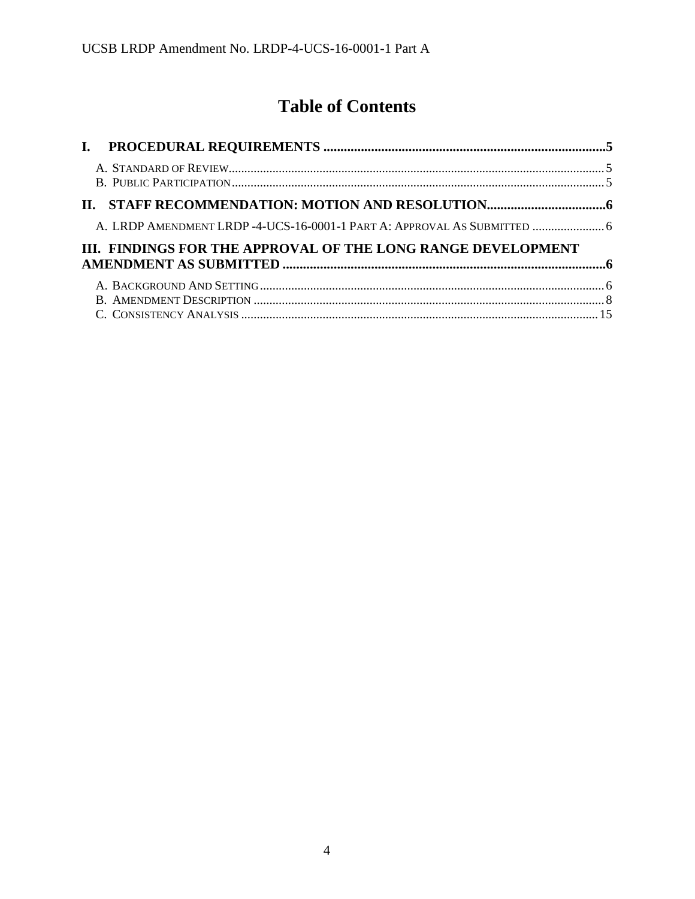# **Table of Contents**

| A. LRDP AMENDMENT LRDP -4-UCS-16-0001-1 PART A: APPROVAL AS SUBMITTED  6 |  |
|--------------------------------------------------------------------------|--|
| III. FINDINGS FOR THE APPROVAL OF THE LONG RANGE DEVELOPMENT             |  |
|                                                                          |  |
|                                                                          |  |
|                                                                          |  |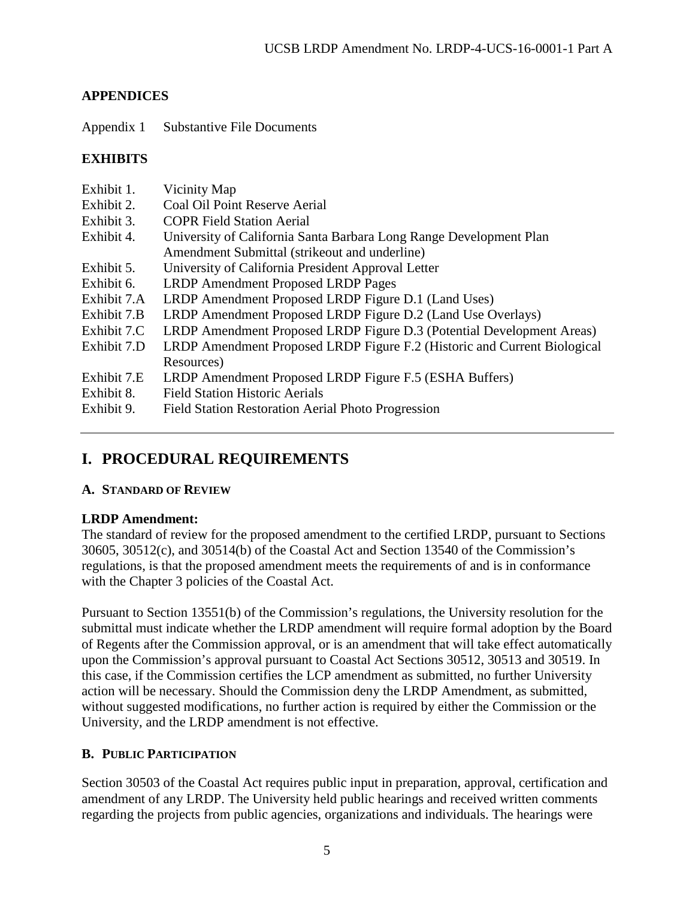# **APPENDICES**

Appendix 1 Substantive File Documents

# **EXHIBITS**

| Exhibit 1.<br>Exhibit 2.<br>Exhibit 3.  | Vicinity Map<br>Coal Oil Point Reserve Aerial<br><b>COPR Field Station Aerial</b>                                                                     |  |  |
|-----------------------------------------|-------------------------------------------------------------------------------------------------------------------------------------------------------|--|--|
| Exhibit 4.                              | University of California Santa Barbara Long Range Development Plan<br>Amendment Submittal (strike out and underline)                                  |  |  |
| Exhibit 5.                              | University of California President Approval Letter                                                                                                    |  |  |
| Exhibit 6.                              | <b>LRDP Amendment Proposed LRDP Pages</b>                                                                                                             |  |  |
| Exhibit 7.A                             | LRDP Amendment Proposed LRDP Figure D.1 (Land Uses)                                                                                                   |  |  |
| Exhibit 7.B                             | LRDP Amendment Proposed LRDP Figure D.2 (Land Use Overlays)                                                                                           |  |  |
| Exhibit 7.C                             | LRDP Amendment Proposed LRDP Figure D.3 (Potential Development Areas)                                                                                 |  |  |
| Exhibit 7.D                             | LRDP Amendment Proposed LRDP Figure F.2 (Historic and Current Biological<br>Resources)                                                                |  |  |
| Exhibit 7.E<br>Exhibit 8.<br>Exhibit 9. | LRDP Amendment Proposed LRDP Figure F.5 (ESHA Buffers)<br><b>Field Station Historic Aerials</b><br>Field Station Restoration Aerial Photo Progression |  |  |

# <span id="page-4-0"></span>**I. PROCEDURAL REQUIREMENTS**

# <span id="page-4-1"></span>**A. STANDARD OF REVIEW**

# **LRDP Amendment:**

The standard of review for the proposed amendment to the certified LRDP, pursuant to Sections 30605, 30512(c), and 30514(b) of the Coastal Act and Section 13540 of the Commission's regulations, is that the proposed amendment meets the requirements of and is in conformance with the Chapter 3 policies of the Coastal Act.

Pursuant to Section 13551(b) of the Commission's regulations, the University resolution for the submittal must indicate whether the LRDP amendment will require formal adoption by the Board of Regents after the Commission approval, or is an amendment that will take effect automatically upon the Commission's approval pursuant to Coastal Act Sections 30512, 30513 and 30519. In this case, if the Commission certifies the LCP amendment as submitted, no further University action will be necessary. Should the Commission deny the LRDP Amendment, as submitted, without suggested modifications, no further action is required by either the Commission or the University, and the LRDP amendment is not effective.

# <span id="page-4-2"></span>**B. PUBLIC PARTICIPATION**

Section 30503 of the Coastal Act requires public input in preparation, approval, certification and amendment of any LRDP. The University held public hearings and received written comments regarding the projects from public agencies, organizations and individuals. The hearings were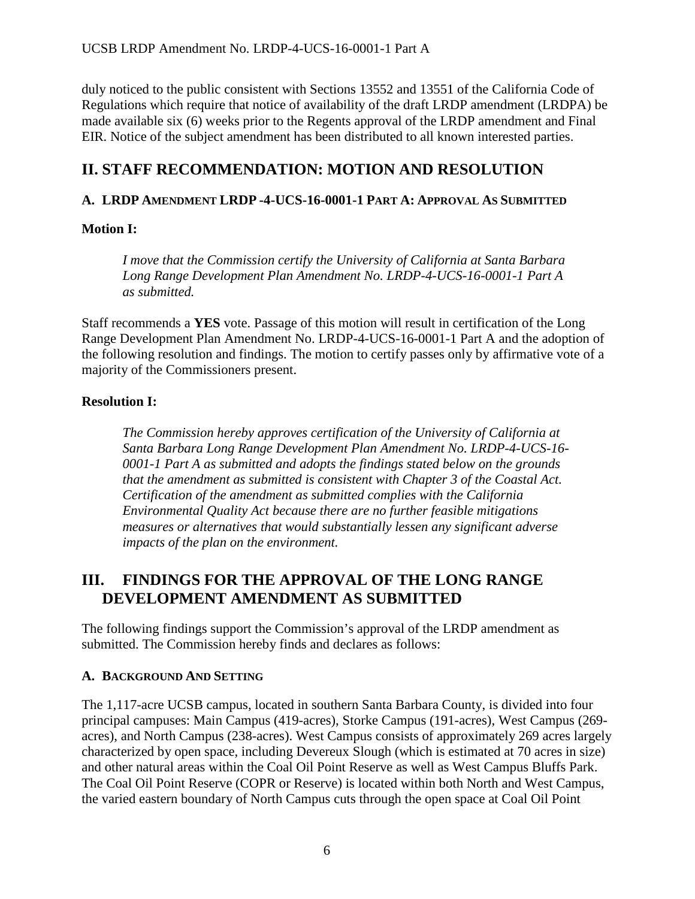duly noticed to the public consistent with Sections 13552 and 13551 of the California Code of Regulations which require that notice of availability of the draft LRDP amendment (LRDPA) be made available six (6) weeks prior to the Regents approval of the LRDP amendment and Final EIR. Notice of the subject amendment has been distributed to all known interested parties.

# <span id="page-5-0"></span>**II. STAFF RECOMMENDATION: MOTION AND RESOLUTION**

# <span id="page-5-1"></span>**A. LRDP AMENDMENT LRDP -4-UCS-16-0001-1 PART A: APPROVAL AS SUBMITTED**

### **Motion I:**

*I move that the Commission certify the University of California at Santa Barbara Long Range Development Plan Amendment No. LRDP-4-UCS-16-0001-1 Part A as submitted.* 

Staff recommends a **YES** vote. Passage of this motion will result in certification of the Long Range Development Plan Amendment No. LRDP-4-UCS-16-0001-1 Part A and the adoption of the following resolution and findings. The motion to certify passes only by affirmative vote of a majority of the Commissioners present.

### **Resolution I:**

*The Commission hereby approves certification of the University of California at Santa Barbara Long Range Development Plan Amendment No. LRDP-4-UCS-16- 0001-1 Part A as submitted and adopts the findings stated below on the grounds that the amendment as submitted is consistent with Chapter 3 of the Coastal Act. Certification of the amendment as submitted complies with the California Environmental Quality Act because there are no further feasible mitigations measures or alternatives that would substantially lessen any significant adverse impacts of the plan on the environment.* 

# <span id="page-5-2"></span>**III. FINDINGS FOR THE APPROVAL OF THE LONG RANGE DEVELOPMENT AMENDMENT AS SUBMITTED**

The following findings support the Commission's approval of the LRDP amendment as submitted. The Commission hereby finds and declares as follows:

### <span id="page-5-3"></span>**A. BACKGROUND AND SETTING**

The 1,117-acre UCSB campus, located in southern Santa Barbara County, is divided into four principal campuses: Main Campus (419-acres), Storke Campus (191-acres), West Campus (269 acres), and North Campus (238-acres). West Campus consists of approximately 269 acres largely characterized by open space, including Devereux Slough (which is estimated at 70 acres in size) and other natural areas within the Coal Oil Point Reserve as well as West Campus Bluffs Park. The Coal Oil Point Reserve (COPR or Reserve) is located within both North and West Campus, the varied eastern boundary of North Campus cuts through the open space at Coal Oil Point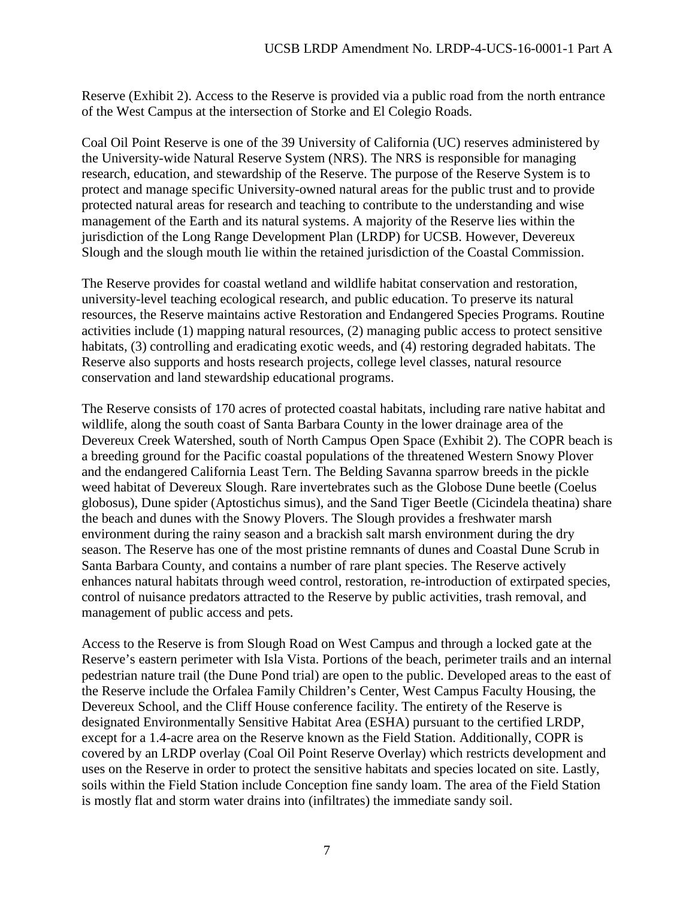Reserve (Exhibit 2). Access to the Reserve is provided via a public road from the north entrance of the West Campus at the intersection of Storke and El Colegio Roads.

Coal Oil Point Reserve is one of the 39 University of California (UC) reserves administered by the University-wide Natural Reserve System (NRS). The NRS is responsible for managing research, education, and stewardship of the Reserve. The purpose of the Reserve System is to protect and manage specific University-owned natural areas for the public trust and to provide protected natural areas for research and teaching to contribute to the understanding and wise management of the Earth and its natural systems. A majority of the Reserve lies within the jurisdiction of the Long Range Development Plan (LRDP) for UCSB. However, Devereux Slough and the slough mouth lie within the retained jurisdiction of the Coastal Commission.

The Reserve provides for coastal wetland and wildlife habitat conservation and restoration, university-level teaching ecological research, and public education. To preserve its natural resources, the Reserve maintains active Restoration and Endangered Species Programs. Routine activities include (1) mapping natural resources, (2) managing public access to protect sensitive habitats, (3) controlling and eradicating exotic weeds, and (4) restoring degraded habitats. The Reserve also supports and hosts research projects, college level classes, natural resource conservation and land stewardship educational programs.

The Reserve consists of 170 acres of protected coastal habitats, including rare native habitat and wildlife, along the south coast of Santa Barbara County in the lower drainage area of the Devereux Creek Watershed, south of North Campus Open Space (Exhibit 2). The COPR beach is a breeding ground for the Pacific coastal populations of the threatened Western Snowy Plover and the endangered California Least Tern. The Belding Savanna sparrow breeds in the pickle weed habitat of Devereux Slough. Rare invertebrates such as the Globose Dune beetle (Coelus globosus), Dune spider (Aptostichus simus), and the Sand Tiger Beetle (Cicindela theatina) share the beach and dunes with the Snowy Plovers. The Slough provides a freshwater marsh environment during the rainy season and a brackish salt marsh environment during the dry season. The Reserve has one of the most pristine remnants of dunes and Coastal Dune Scrub in Santa Barbara County, and contains a number of rare plant species. The Reserve actively enhances natural habitats through weed control, restoration, re-introduction of extirpated species, control of nuisance predators attracted to the Reserve by public activities, trash removal, and management of public access and pets.

Access to the Reserve is from Slough Road on West Campus and through a locked gate at the Reserve's eastern perimeter with Isla Vista. Portions of the beach, perimeter trails and an internal pedestrian nature trail (the Dune Pond trial) are open to the public. Developed areas to the east of the Reserve include the Orfalea Family Children's Center, West Campus Faculty Housing, the Devereux School, and the Cliff House conference facility. The entirety of the Reserve is designated Environmentally Sensitive Habitat Area (ESHA) pursuant to the certified LRDP, except for a 1.4-acre area on the Reserve known as the Field Station. Additionally, COPR is covered by an LRDP overlay (Coal Oil Point Reserve Overlay) which restricts development and uses on the Reserve in order to protect the sensitive habitats and species located on site. Lastly, soils within the Field Station include Conception fine sandy loam. The area of the Field Station is mostly flat and storm water drains into (infiltrates) the immediate sandy soil.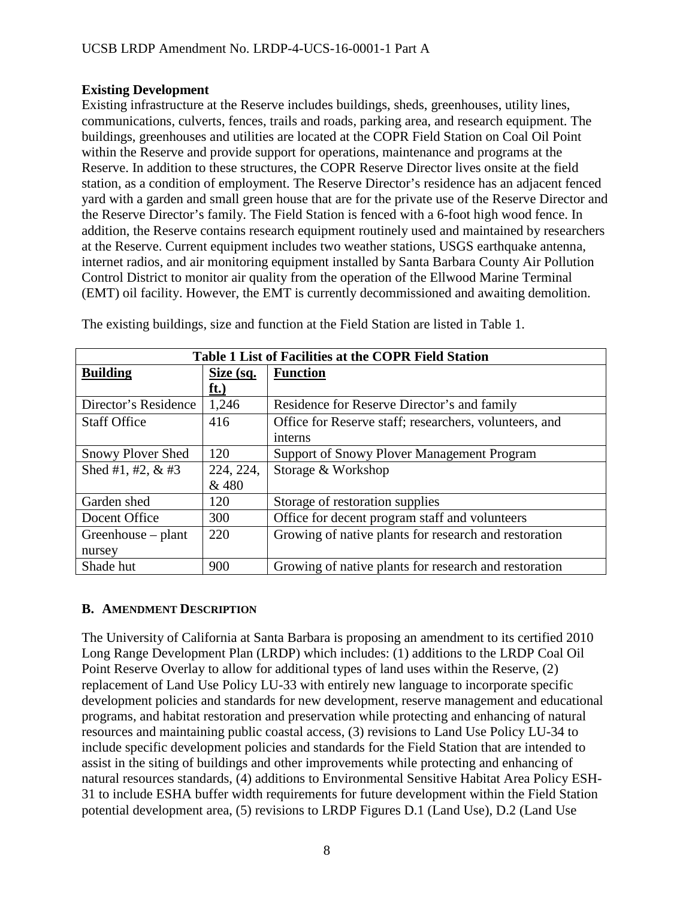#### **Existing Development**

Existing infrastructure at the Reserve includes buildings, sheds, greenhouses, utility lines, communications, culverts, fences, trails and roads, parking area, and research equipment. The buildings, greenhouses and utilities are located at the COPR Field Station on Coal Oil Point within the Reserve and provide support for operations, maintenance and programs at the Reserve. In addition to these structures, the COPR Reserve Director lives onsite at the field station, as a condition of employment. The Reserve Director's residence has an adjacent fenced yard with a garden and small green house that are for the private use of the Reserve Director and the Reserve Director's family. The Field Station is fenced with a 6-foot high wood fence. In addition, the Reserve contains research equipment routinely used and maintained by researchers at the Reserve. Current equipment includes two weather stations, USGS earthquake antenna, internet radios, and air monitoring equipment installed by Santa Barbara County Air Pollution Control District to monitor air quality from the operation of the Ellwood Marine Terminal (EMT) oil facility. However, the EMT is currently decommissioned and awaiting demolition.

| Table 1 List of Facilities at the COPR Field Station |           |                                                        |  |  |  |
|------------------------------------------------------|-----------|--------------------------------------------------------|--|--|--|
| <b>Building</b>                                      | Size (sq. | <b>Function</b>                                        |  |  |  |
|                                                      | ft.)      |                                                        |  |  |  |
| Director's Residence                                 | 1,246     | Residence for Reserve Director's and family            |  |  |  |
| <b>Staff Office</b>                                  | 416       | Office for Reserve staff; researchers, volunteers, and |  |  |  |
|                                                      |           | interns                                                |  |  |  |
| <b>Snowy Plover Shed</b>                             | 120       | <b>Support of Snowy Plover Management Program</b>      |  |  |  |
| Shed #1, #2, $&$ #3                                  | 224, 224, | Storage & Workshop                                     |  |  |  |
|                                                      | & 480     |                                                        |  |  |  |
| Garden shed                                          | 120       | Storage of restoration supplies                        |  |  |  |
| Docent Office                                        | 300       | Office for decent program staff and volunteers         |  |  |  |
| Greenhouse – plant                                   | 220       | Growing of native plants for research and restoration  |  |  |  |
| nursey                                               |           |                                                        |  |  |  |
| Shade hut                                            | 900       | Growing of native plants for research and restoration  |  |  |  |

The existing buildings, size and function at the Field Station are listed in Table 1.

### <span id="page-7-0"></span>**B. AMENDMENT DESCRIPTION**

The University of California at Santa Barbara is proposing an amendment to its certified 2010 Long Range Development Plan (LRDP) which includes: (1) additions to the LRDP Coal Oil Point Reserve Overlay to allow for additional types of land uses within the Reserve, (2) replacement of Land Use Policy LU-33 with entirely new language to incorporate specific development policies and standards for new development, reserve management and educational programs, and habitat restoration and preservation while protecting and enhancing of natural resources and maintaining public coastal access, (3) revisions to Land Use Policy LU-34 to include specific development policies and standards for the Field Station that are intended to assist in the siting of buildings and other improvements while protecting and enhancing of natural resources standards, (4) additions to Environmental Sensitive Habitat Area Policy ESH-31 to include ESHA buffer width requirements for future development within the Field Station potential development area, (5) revisions to LRDP Figures D.1 (Land Use), D.2 (Land Use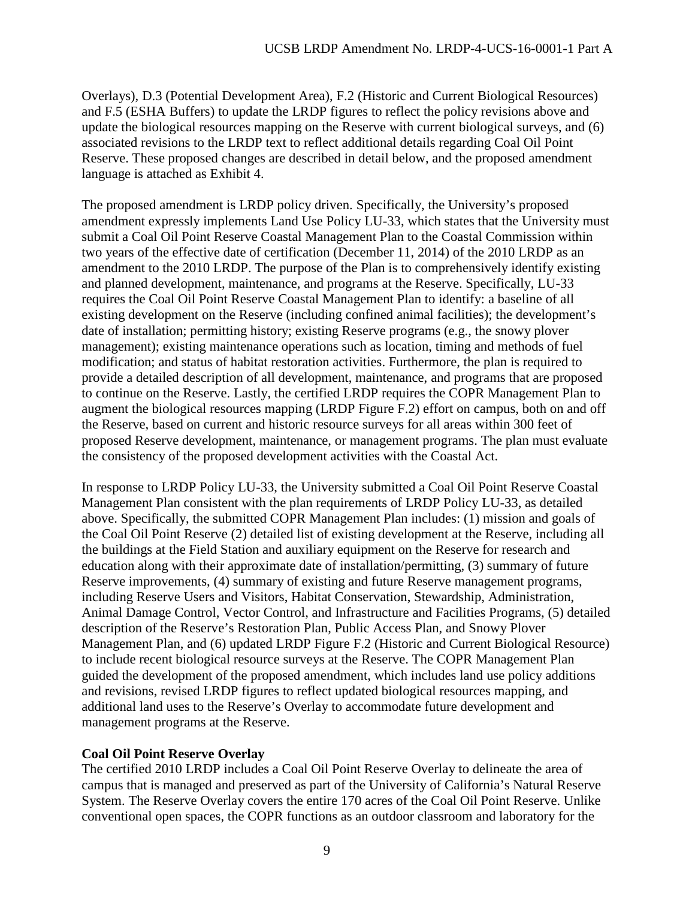Overlays), D.3 (Potential Development Area), F.2 (Historic and Current Biological Resources) and F.5 (ESHA Buffers) to update the LRDP figures to reflect the policy revisions above and update the biological resources mapping on the Reserve with current biological surveys, and (6) associated revisions to the LRDP text to reflect additional details regarding Coal Oil Point Reserve. These proposed changes are described in detail below, and the proposed amendment language is attached as Exhibit 4.

The proposed amendment is LRDP policy driven. Specifically, the University's proposed amendment expressly implements Land Use Policy LU-33, which states that the University must submit a Coal Oil Point Reserve Coastal Management Plan to the Coastal Commission within two years of the effective date of certification (December 11, 2014) of the 2010 LRDP as an amendment to the 2010 LRDP. The purpose of the Plan is to comprehensively identify existing and planned development, maintenance, and programs at the Reserve. Specifically, LU-33 requires the Coal Oil Point Reserve Coastal Management Plan to identify: a baseline of all existing development on the Reserve (including confined animal facilities); the development's date of installation; permitting history; existing Reserve programs (e.g., the snowy plover management); existing maintenance operations such as location, timing and methods of fuel modification; and status of habitat restoration activities. Furthermore, the plan is required to provide a detailed description of all development, maintenance, and programs that are proposed to continue on the Reserve. Lastly, the certified LRDP requires the COPR Management Plan to augment the biological resources mapping (LRDP Figure F.2) effort on campus, both on and off the Reserve, based on current and historic resource surveys for all areas within 300 feet of proposed Reserve development, maintenance, or management programs. The plan must evaluate the consistency of the proposed development activities with the Coastal Act.

In response to LRDP Policy LU-33, the University submitted a Coal Oil Point Reserve Coastal Management Plan consistent with the plan requirements of LRDP Policy LU-33, as detailed above. Specifically, the submitted COPR Management Plan includes: (1) mission and goals of the Coal Oil Point Reserve (2) detailed list of existing development at the Reserve, including all the buildings at the Field Station and auxiliary equipment on the Reserve for research and education along with their approximate date of installation/permitting, (3) summary of future Reserve improvements, (4) summary of existing and future Reserve management programs, including Reserve Users and Visitors, Habitat Conservation, Stewardship, Administration, Animal Damage Control, Vector Control, and Infrastructure and Facilities Programs, (5) detailed description of the Reserve's Restoration Plan, Public Access Plan, and Snowy Plover Management Plan, and (6) updated LRDP Figure F.2 (Historic and Current Biological Resource) to include recent biological resource surveys at the Reserve. The COPR Management Plan guided the development of the proposed amendment, which includes land use policy additions and revisions, revised LRDP figures to reflect updated biological resources mapping, and additional land uses to the Reserve's Overlay to accommodate future development and management programs at the Reserve.

# **Coal Oil Point Reserve Overlay**

The certified 2010 LRDP includes a Coal Oil Point Reserve Overlay to delineate the area of campus that is managed and preserved as part of the University of California's Natural Reserve System. The Reserve Overlay covers the entire 170 acres of the Coal Oil Point Reserve. Unlike conventional open spaces, the COPR functions as an outdoor classroom and laboratory for the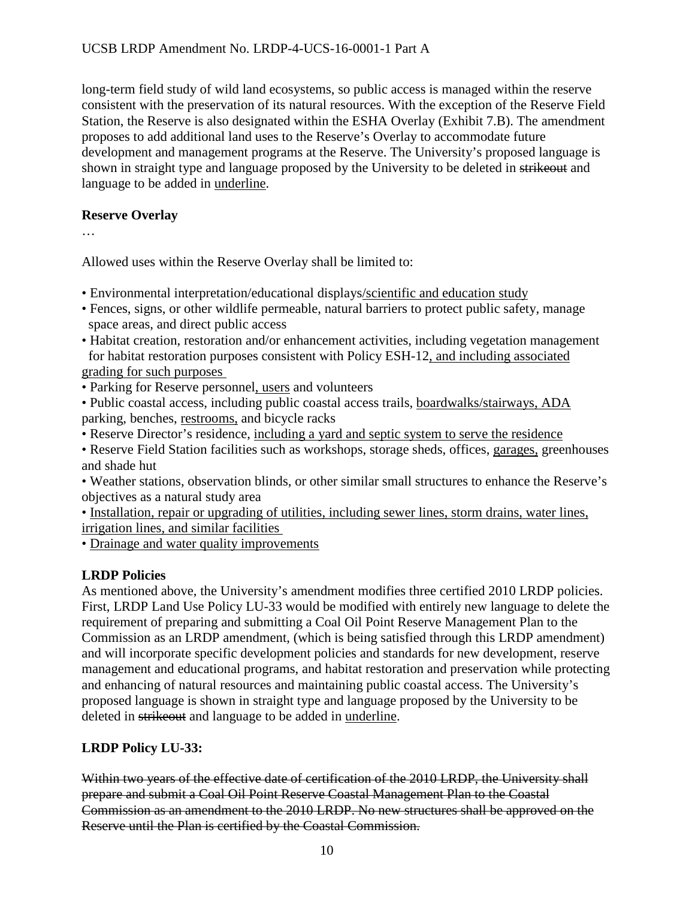long-term field study of wild land ecosystems, so public access is managed within the reserve consistent with the preservation of its natural resources. With the exception of the Reserve Field Station, the Reserve is also designated within the ESHA Overlay (Exhibit 7.B). The amendment proposes to add additional land uses to the Reserve's Overlay to accommodate future development and management programs at the Reserve. The University's proposed language is shown in straight type and language proposed by the University to be deleted in strikeout and language to be added in underline.

### **Reserve Overlay**

…

Allowed uses within the Reserve Overlay shall be limited to:

- Environmental interpretation/educational displays/scientific and education study
- Fences, signs, or other wildlife permeable, natural barriers to protect public safety, manage space areas, and direct public access
- Habitat creation, restoration and/or enhancement activities, including vegetation management for habitat restoration purposes consistent with Policy ESH-12, and including associated grading for such purposes
- Parking for Reserve personnel, users and volunteers
- Public coastal access, including public coastal access trails, boardwalks/stairways, ADA parking, benches, restrooms, and bicycle racks
- Reserve Director's residence, including a yard and septic system to serve the residence
- Reserve Field Station facilities such as workshops, storage sheds, offices, garages, greenhouses and shade hut
- Weather stations, observation blinds, or other similar small structures to enhance the Reserve's objectives as a natural study area
- Installation, repair or upgrading of utilities, including sewer lines, storm drains, water lines, irrigation lines, and similar facilities

• Drainage and water quality improvements

# **LRDP Policies**

As mentioned above, the University's amendment modifies three certified 2010 LRDP policies. First, LRDP Land Use Policy LU-33 would be modified with entirely new language to delete the requirement of preparing and submitting a Coal Oil Point Reserve Management Plan to the Commission as an LRDP amendment, (which is being satisfied through this LRDP amendment) and will incorporate specific development policies and standards for new development, reserve management and educational programs, and habitat restoration and preservation while protecting and enhancing of natural resources and maintaining public coastal access. The University's proposed language is shown in straight type and language proposed by the University to be deleted in strikeout and language to be added in underline.

# **LRDP Policy LU-33:**

Within two years of the effective date of certification of the 2010 LRDP, the University shall prepare and submit a Coal Oil Point Reserve Coastal Management Plan to the Coastal Commission as an amendment to the 2010 LRDP. No new structures shall be approved on the Reserve until the Plan is certified by the Coastal Commission.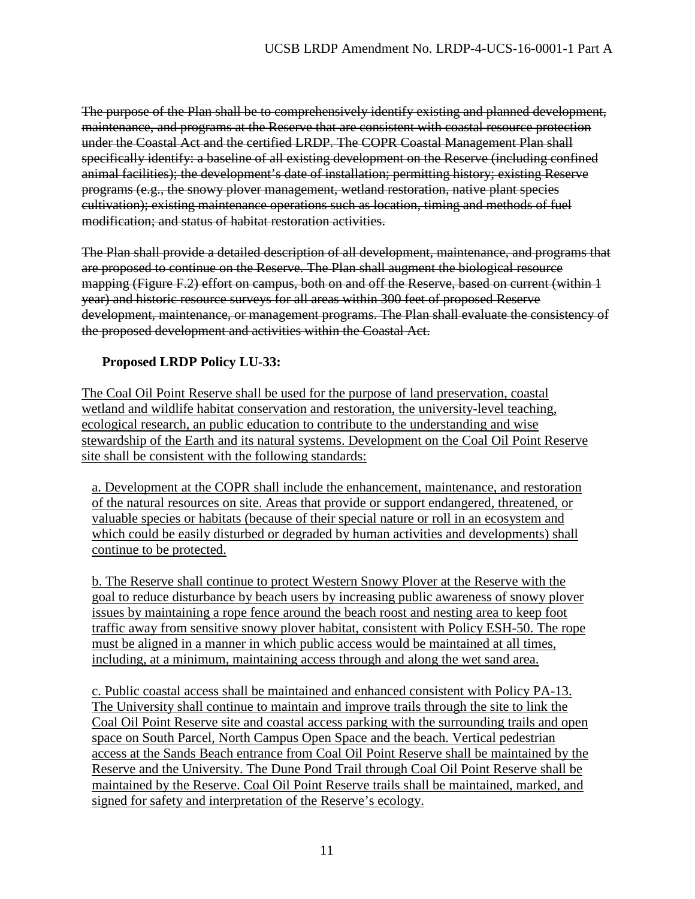The purpose of the Plan shall be to comprehensively identify existing and planned development, maintenance, and programs at the Reserve that are consistent with coastal resource protection under the Coastal Act and the certified LRDP. The COPR Coastal Management Plan shall specifically identify: a baseline of all existing development on the Reserve (including confined animal facilities); the development's date of installation; permitting history; existing Reserve programs (e.g., the snowy plover management, wetland restoration, native plant species cultivation); existing maintenance operations such as location, timing and methods of fuel modification; and status of habitat restoration activities.

The Plan shall provide a detailed description of all development, maintenance, and programs that are proposed to continue on the Reserve. The Plan shall augment the biological resource mapping (Figure F.2) effort on campus, both on and off the Reserve, based on current (within 1 year) and historic resource surveys for all areas within 300 feet of proposed Reserve development, maintenance, or management programs. The Plan shall evaluate the consistency of the proposed development and activities within the Coastal Act.

# **Proposed LRDP Policy LU-33:**

The Coal Oil Point Reserve shall be used for the purpose of land preservation, coastal wetland and wildlife habitat conservation and restoration, the university-level teaching, ecological research, an public education to contribute to the understanding and wise stewardship of the Earth and its natural systems. Development on the Coal Oil Point Reserve site shall be consistent with the following standards:

a. Development at the COPR shall include the enhancement, maintenance, and restoration of the natural resources on site. Areas that provide or support endangered, threatened, or valuable species or habitats (because of their special nature or roll in an ecosystem and which could be easily disturbed or degraded by human activities and developments) shall continue to be protected.

b. The Reserve shall continue to protect Western Snowy Plover at the Reserve with the goal to reduce disturbance by beach users by increasing public awareness of snowy plover issues by maintaining a rope fence around the beach roost and nesting area to keep foot traffic away from sensitive snowy plover habitat, consistent with Policy ESH-50. The rope must be aligned in a manner in which public access would be maintained at all times, including, at a minimum, maintaining access through and along the wet sand area.

c. Public coastal access shall be maintained and enhanced consistent with Policy PA-13. The University shall continue to maintain and improve trails through the site to link the Coal Oil Point Reserve site and coastal access parking with the surrounding trails and open space on South Parcel, North Campus Open Space and the beach. Vertical pedestrian access at the Sands Beach entrance from Coal Oil Point Reserve shall be maintained by the Reserve and the University. The Dune Pond Trail through Coal Oil Point Reserve shall be maintained by the Reserve. Coal Oil Point Reserve trails shall be maintained, marked, and signed for safety and interpretation of the Reserve's ecology.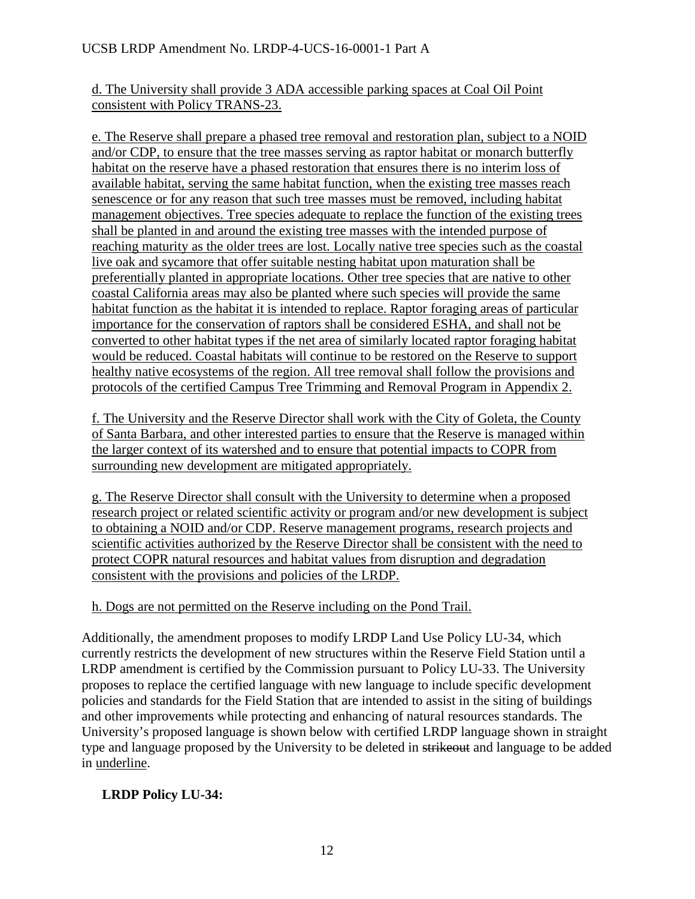d. The University shall provide 3 ADA accessible parking spaces at Coal Oil Point consistent with Policy TRANS-23.

e. The Reserve shall prepare a phased tree removal and restoration plan, subject to a NOID and/or CDP, to ensure that the tree masses serving as raptor habitat or monarch butterfly habitat on the reserve have a phased restoration that ensures there is no interim loss of available habitat, serving the same habitat function, when the existing tree masses reach senescence or for any reason that such tree masses must be removed, including habitat management objectives. Tree species adequate to replace the function of the existing trees shall be planted in and around the existing tree masses with the intended purpose of reaching maturity as the older trees are lost. Locally native tree species such as the coastal live oak and sycamore that offer suitable nesting habitat upon maturation shall be preferentially planted in appropriate locations. Other tree species that are native to other coastal California areas may also be planted where such species will provide the same habitat function as the habitat it is intended to replace. Raptor foraging areas of particular importance for the conservation of raptors shall be considered ESHA, and shall not be converted to other habitat types if the net area of similarly located raptor foraging habitat would be reduced. Coastal habitats will continue to be restored on the Reserve to support healthy native ecosystems of the region. All tree removal shall follow the provisions and protocols of the certified Campus Tree Trimming and Removal Program in Appendix 2.

f. The University and the Reserve Director shall work with the City of Goleta, the County of Santa Barbara, and other interested parties to ensure that the Reserve is managed within the larger context of its watershed and to ensure that potential impacts to COPR from surrounding new development are mitigated appropriately.

g. The Reserve Director shall consult with the University to determine when a proposed research project or related scientific activity or program and/or new development is subject to obtaining a NOID and/or CDP. Reserve management programs, research projects and scientific activities authorized by the Reserve Director shall be consistent with the need to protect COPR natural resources and habitat values from disruption and degradation consistent with the provisions and policies of the LRDP.

# h. Dogs are not permitted on the Reserve including on the Pond Trail.

Additionally, the amendment proposes to modify LRDP Land Use Policy LU-34, which currently restricts the development of new structures within the Reserve Field Station until a LRDP amendment is certified by the Commission pursuant to Policy LU-33. The University proposes to replace the certified language with new language to include specific development policies and standards for the Field Station that are intended to assist in the siting of buildings and other improvements while protecting and enhancing of natural resources standards. The University's proposed language is shown below with certified LRDP language shown in straight type and language proposed by the University to be deleted in strikeout and language to be added in underline.

# **LRDP Policy LU-34:**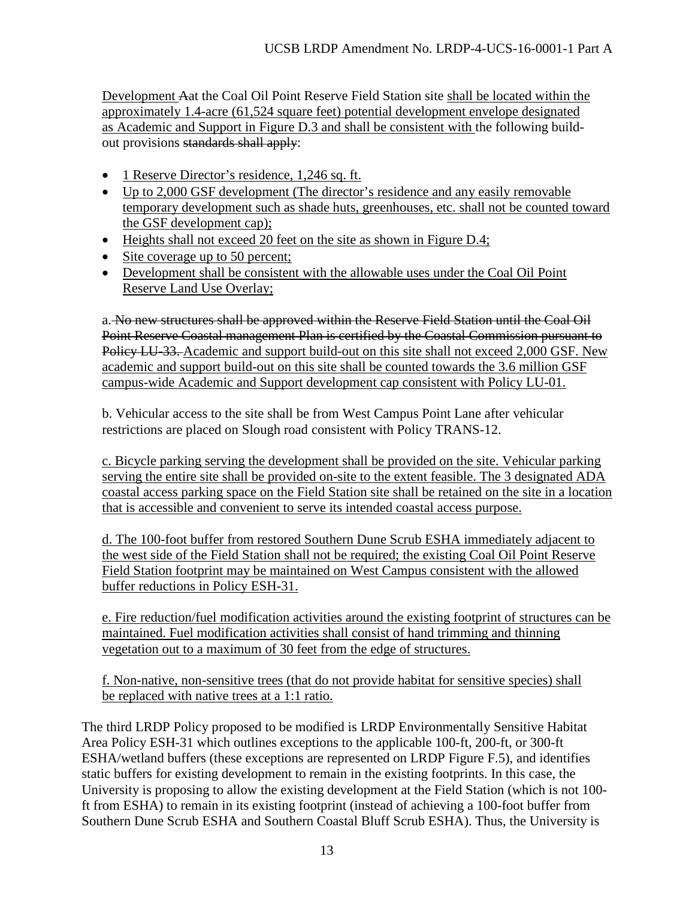Development Aat the Coal Oil Point Reserve Field Station site shall be located within the approximately 1.4-acre (61,524 square feet) potential development envelope designated as Academic and Support in Figure D.3 and shall be consistent with the following buildout provisions standards shall apply:

- 1 Reserve Director's residence, 1,246 sq. ft.
- Up to 2,000 GSF development (The director's residence and any easily removable temporary development such as shade huts, greenhouses, etc. shall not be counted toward the GSF development cap);
- Heights shall not exceed 20 feet on the site as shown in Figure D.4;
- Site coverage up to 50 percent;
- Development shall be consistent with the allowable uses under the Coal Oil Point Reserve Land Use Overlay;

a. No new structures shall be approved within the Reserve Field Station until the Coal Oil Point Reserve Coastal management Plan is certified by the Coastal Commission pursuant to Policy LU-33. Academic and support build-out on this site shall not exceed 2,000 GSF. New academic and support build-out on this site shall be counted towards the 3.6 million GSF campus-wide Academic and Support development cap consistent with Policy LU-01.

b. Vehicular access to the site shall be from West Campus Point Lane after vehicular restrictions are placed on Slough road consistent with Policy TRANS-12.

c. Bicycle parking serving the development shall be provided on the site. Vehicular parking serving the entire site shall be provided on-site to the extent feasible. The 3 designated ADA coastal access parking space on the Field Station site shall be retained on the site in a location that is accessible and convenient to serve its intended coastal access purpose.

d. The 100-foot buffer from restored Southern Dune Scrub ESHA immediately adjacent to the west side of the Field Station shall not be required; the existing Coal Oil Point Reserve Field Station footprint may be maintained on West Campus consistent with the allowed buffer reductions in Policy ESH-31.

e. Fire reduction/fuel modification activities around the existing footprint of structures can be maintained. Fuel modification activities shall consist of hand trimming and thinning vegetation out to a maximum of 30 feet from the edge of structures.

f. Non-native, non-sensitive trees (that do not provide habitat for sensitive species) shall be replaced with native trees at a 1:1 ratio.

The third LRDP Policy proposed to be modified is LRDP Environmentally Sensitive Habitat Area Policy ESH-31 which outlines exceptions to the applicable 100-ft, 200-ft, or 300-ft ESHA/wetland buffers (these exceptions are represented on LRDP Figure F.5), and identifies static buffers for existing development to remain in the existing footprints. In this case, the University is proposing to allow the existing development at the Field Station (which is not 100 ft from ESHA) to remain in its existing footprint (instead of achieving a 100-foot buffer from Southern Dune Scrub ESHA and Southern Coastal Bluff Scrub ESHA). Thus, the University is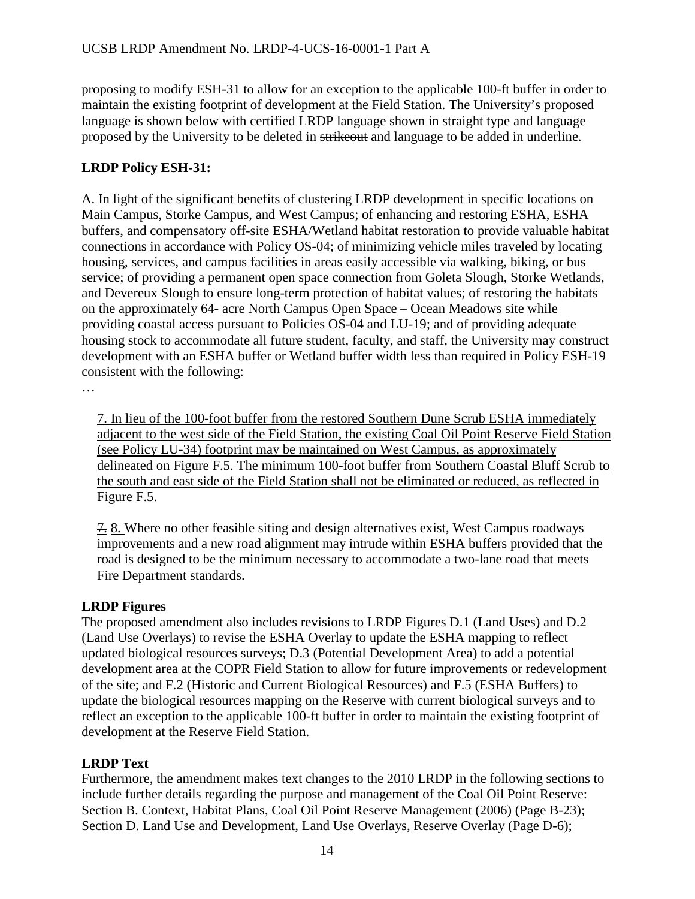proposing to modify ESH-31 to allow for an exception to the applicable 100-ft buffer in order to maintain the existing footprint of development at the Field Station. The University's proposed language is shown below with certified LRDP language shown in straight type and language proposed by the University to be deleted in strikeout and language to be added in underline.

# **LRDP Policy ESH-31:**

A. In light of the significant benefits of clustering LRDP development in specific locations on Main Campus, Storke Campus, and West Campus; of enhancing and restoring ESHA, ESHA buffers, and compensatory off-site ESHA/Wetland habitat restoration to provide valuable habitat connections in accordance with Policy OS-04; of minimizing vehicle miles traveled by locating housing, services, and campus facilities in areas easily accessible via walking, biking, or bus service; of providing a permanent open space connection from Goleta Slough, Storke Wetlands, and Devereux Slough to ensure long-term protection of habitat values; of restoring the habitats on the approximately 64- acre North Campus Open Space – Ocean Meadows site while providing coastal access pursuant to Policies OS-04 and LU-19; and of providing adequate housing stock to accommodate all future student, faculty, and staff, the University may construct development with an ESHA buffer or Wetland buffer width less than required in Policy ESH-19 consistent with the following:

…

7. In lieu of the 100-foot buffer from the restored Southern Dune Scrub ESHA immediately adjacent to the west side of the Field Station, the existing Coal Oil Point Reserve Field Station (see Policy LU-34) footprint may be maintained on West Campus, as approximately delineated on Figure F.5. The minimum 100-foot buffer from Southern Coastal Bluff Scrub to the south and east side of the Field Station shall not be eliminated or reduced, as reflected in Figure F.5.

7. 8. Where no other feasible siting and design alternatives exist, West Campus roadways improvements and a new road alignment may intrude within ESHA buffers provided that the road is designed to be the minimum necessary to accommodate a two-lane road that meets Fire Department standards.

# **LRDP Figures**

The proposed amendment also includes revisions to LRDP Figures D.1 (Land Uses) and D.2 (Land Use Overlays) to revise the ESHA Overlay to update the ESHA mapping to reflect updated biological resources surveys; D.3 (Potential Development Area) to add a potential development area at the COPR Field Station to allow for future improvements or redevelopment of the site; and F.2 (Historic and Current Biological Resources) and F.5 (ESHA Buffers) to update the biological resources mapping on the Reserve with current biological surveys and to reflect an exception to the applicable 100-ft buffer in order to maintain the existing footprint of development at the Reserve Field Station.

# **LRDP Text**

Furthermore, the amendment makes text changes to the 2010 LRDP in the following sections to include further details regarding the purpose and management of the Coal Oil Point Reserve: Section B. Context, Habitat Plans, Coal Oil Point Reserve Management (2006) (Page B-23); Section D. Land Use and Development, Land Use Overlays, Reserve Overlay (Page D-6);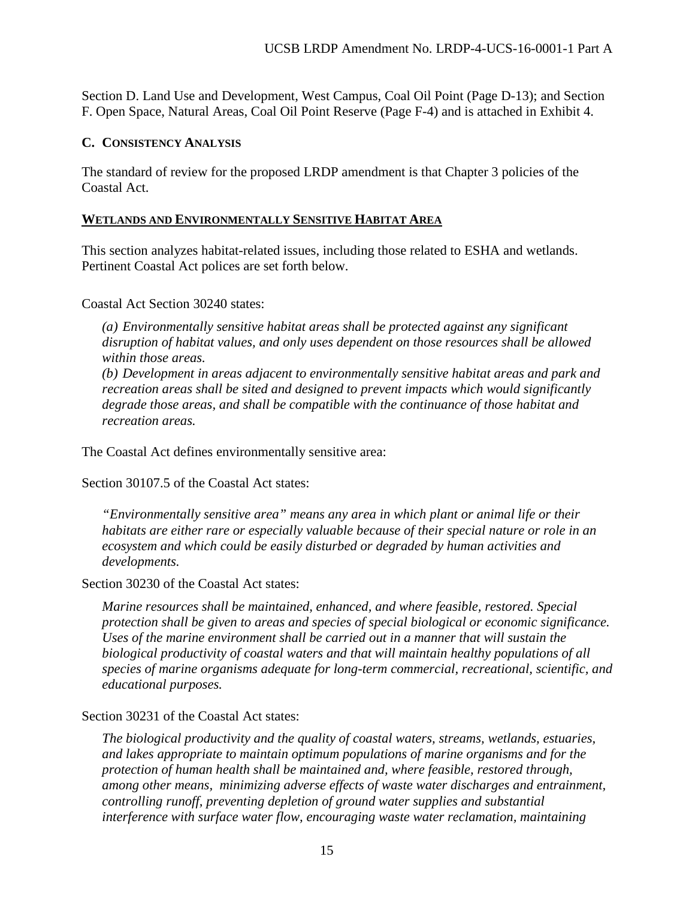Section D. Land Use and Development, West Campus, Coal Oil Point (Page D-13); and Section F. Open Space, Natural Areas, Coal Oil Point Reserve (Page F-4) and is attached in Exhibit 4.

### <span id="page-14-0"></span>**C. CONSISTENCY ANALYSIS**

The standard of review for the proposed LRDP amendment is that Chapter 3 policies of the Coastal Act.

### **WETLANDS AND ENVIRONMENTALLY SENSITIVE HABITAT AREA**

This section analyzes habitat-related issues, including those related to ESHA and wetlands. Pertinent Coastal Act polices are set forth below.

Coastal Act Section 30240 states:

*(a) Environmentally sensitive habitat areas shall be protected against any significant disruption of habitat values, and only uses dependent on those resources shall be allowed within those areas.* 

*(b) Development in areas adjacent to environmentally sensitive habitat areas and park and recreation areas shall be sited and designed to prevent impacts which would significantly degrade those areas, and shall be compatible with the continuance of those habitat and recreation areas.* 

The Coastal Act defines environmentally sensitive area:

Section 30107.5 of the Coastal Act states:

*"Environmentally sensitive area" means any area in which plant or animal life or their habitats are either rare or especially valuable because of their special nature or role in an ecosystem and which could be easily disturbed or degraded by human activities and developments.* 

Section 30230 of the Coastal Act states:

*Marine resources shall be maintained, enhanced, and where feasible, restored. Special protection shall be given to areas and species of special biological or economic significance. Uses of the marine environment shall be carried out in a manner that will sustain the biological productivity of coastal waters and that will maintain healthy populations of all species of marine organisms adequate for long-term commercial, recreational, scientific, and educational purposes.* 

Section 30231 of the Coastal Act states:

*The biological productivity and the quality of coastal waters, streams, wetlands, estuaries, and lakes appropriate to maintain optimum populations of marine organisms and for the protection of human health shall be maintained and, where feasible, restored through, among other means, minimizing adverse effects of waste water discharges and entrainment, controlling runoff, preventing depletion of ground water supplies and substantial interference with surface water flow, encouraging waste water reclamation, maintaining*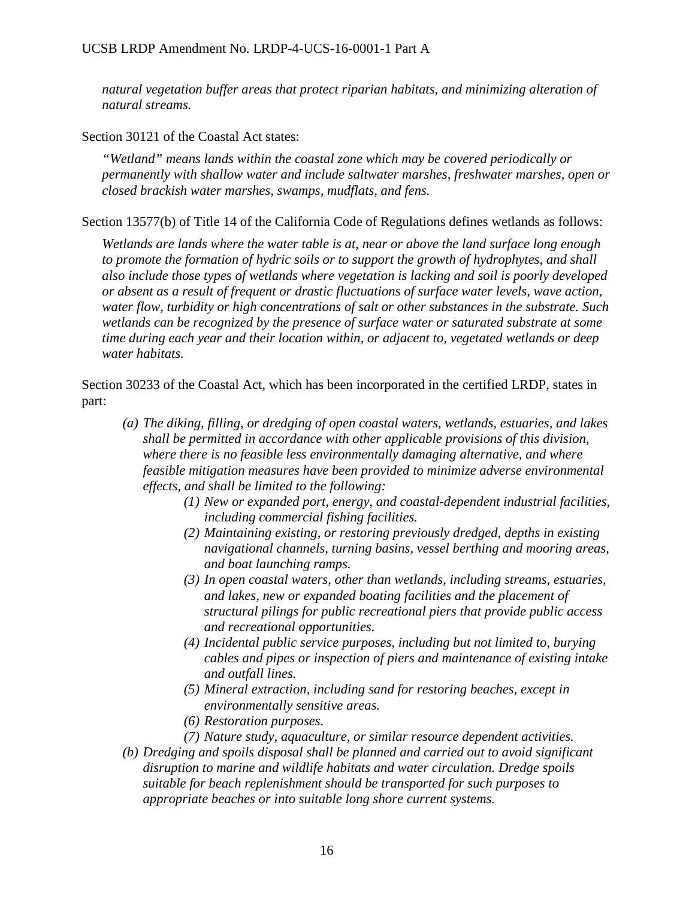*natural vegetation buffer areas that protect riparian habitats, and minimizing alteration of natural streams.*

Section 30121 of the Coastal Act states:

*"Wetland" means lands within the coastal zone which may be covered periodically or permanently with shallow water and include saltwater marshes, freshwater marshes, open or closed brackish water marshes, swamps, mudflats, and fens.* 

Section 13577(b) of Title 14 of the California Code of Regulations defines wetlands as follows:

*Wetlands are lands where the water table is at, near or above the land surface long enough to promote the formation of hydric soils or to support the growth of hydrophytes, and shall also include those types of wetlands where vegetation is lacking and soil is poorly developed or absent as a result of frequent or drastic fluctuations of surface water levels, wave action, water flow, turbidity or high concentrations of salt or other substances in the substrate. Such wetlands can be recognized by the presence of surface water or saturated substrate at some time during each year and their location within, or adjacent to, vegetated wetlands or deep water habitats.* 

Section 30233 of the Coastal Act, which has been incorporated in the certified LRDP, states in part:

- *(a) The diking, filling, or dredging of open coastal waters, wetlands, estuaries, and lakes shall be permitted in accordance with other applicable provisions of this division, where there is no feasible less environmentally damaging alternative, and where feasible mitigation measures have been provided to minimize adverse environmental effects, and shall be limited to the following:*
	- *(1) New or expanded port, energy, and coastal-dependent industrial facilities, including commercial fishing facilities.*
	- *(2) Maintaining existing, or restoring previously dredged, depths in existing navigational channels, turning basins, vessel berthing and mooring areas, and boat launching ramps.*
	- *(3) In open coastal waters, other than wetlands, including streams, estuaries, and lakes, new or expanded boating facilities and the placement of structural pilings for public recreational piers that provide public access and recreational opportunities.*
	- *(4) Incidental public service purposes, including but not limited to, burying cables and pipes or inspection of piers and maintenance of existing intake and outfall lines.*
	- *(5) Mineral extraction, including sand for restoring beaches, except in environmentally sensitive areas.*
	- *(6) Restoration purposes.*
	- *(7) Nature study, aquaculture, or similar resource dependent activities.*
- *(b) Dredging and spoils disposal shall be planned and carried out to avoid significant disruption to marine and wildlife habitats and water circulation. Dredge spoils suitable for beach replenishment should be transported for such purposes to appropriate beaches or into suitable long shore current systems.*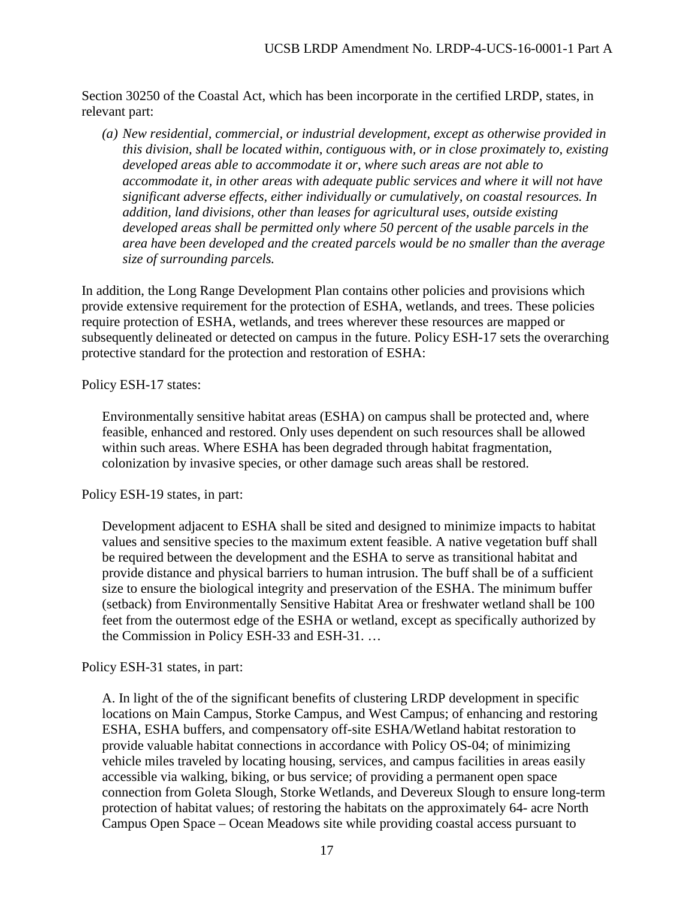Section 30250 of the Coastal Act, which has been incorporate in the certified LRDP, states, in relevant part:

*(a) New residential, commercial, or industrial development, except as otherwise provided in this division, shall be located within, contiguous with, or in close proximately to, existing developed areas able to accommodate it or, where such areas are not able to accommodate it, in other areas with adequate public services and where it will not have significant adverse effects, either individually or cumulatively, on coastal resources. In addition, land divisions, other than leases for agricultural uses, outside existing developed areas shall be permitted only where 50 percent of the usable parcels in the area have been developed and the created parcels would be no smaller than the average size of surrounding parcels.* 

In addition, the Long Range Development Plan contains other policies and provisions which provide extensive requirement for the protection of ESHA, wetlands, and trees. These policies require protection of ESHA, wetlands, and trees wherever these resources are mapped or subsequently delineated or detected on campus in the future. Policy ESH-17 sets the overarching protective standard for the protection and restoration of ESHA:

Policy ESH-17 states:

Environmentally sensitive habitat areas (ESHA) on campus shall be protected and, where feasible, enhanced and restored. Only uses dependent on such resources shall be allowed within such areas. Where ESHA has been degraded through habitat fragmentation, colonization by invasive species, or other damage such areas shall be restored.

Policy ESH-19 states, in part:

Development adjacent to ESHA shall be sited and designed to minimize impacts to habitat values and sensitive species to the maximum extent feasible. A native vegetation buff shall be required between the development and the ESHA to serve as transitional habitat and provide distance and physical barriers to human intrusion. The buff shall be of a sufficient size to ensure the biological integrity and preservation of the ESHA. The minimum buffer (setback) from Environmentally Sensitive Habitat Area or freshwater wetland shall be 100 feet from the outermost edge of the ESHA or wetland, except as specifically authorized by the Commission in Policy ESH-33 and ESH-31. …

Policy ESH-31 states, in part:

A. In light of the of the significant benefits of clustering LRDP development in specific locations on Main Campus, Storke Campus, and West Campus; of enhancing and restoring ESHA, ESHA buffers, and compensatory off-site ESHA/Wetland habitat restoration to provide valuable habitat connections in accordance with Policy OS-04; of minimizing vehicle miles traveled by locating housing, services, and campus facilities in areas easily accessible via walking, biking, or bus service; of providing a permanent open space connection from Goleta Slough, Storke Wetlands, and Devereux Slough to ensure long-term protection of habitat values; of restoring the habitats on the approximately 64- acre North Campus Open Space – Ocean Meadows site while providing coastal access pursuant to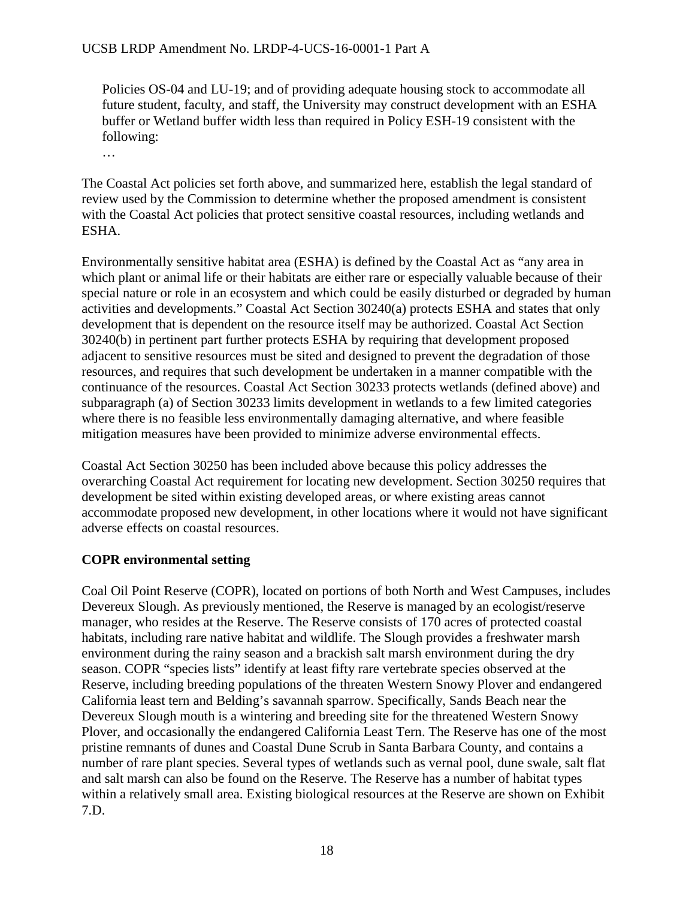#### UCSB LRDP Amendment No. LRDP-4-UCS-16-0001-1 Part A

Policies OS-04 and LU-19; and of providing adequate housing stock to accommodate all future student, faculty, and staff, the University may construct development with an ESHA buffer or Wetland buffer width less than required in Policy ESH-19 consistent with the following:

…

The Coastal Act policies set forth above, and summarized here, establish the legal standard of review used by the Commission to determine whether the proposed amendment is consistent with the Coastal Act policies that protect sensitive coastal resources, including wetlands and ESHA.

Environmentally sensitive habitat area (ESHA) is defined by the Coastal Act as "any area in which plant or animal life or their habitats are either rare or especially valuable because of their special nature or role in an ecosystem and which could be easily disturbed or degraded by human activities and developments." Coastal Act Section 30240(a) protects ESHA and states that only development that is dependent on the resource itself may be authorized. Coastal Act Section 30240(b) in pertinent part further protects ESHA by requiring that development proposed adjacent to sensitive resources must be sited and designed to prevent the degradation of those resources, and requires that such development be undertaken in a manner compatible with the continuance of the resources. Coastal Act Section 30233 protects wetlands (defined above) and subparagraph (a) of Section 30233 limits development in wetlands to a few limited categories where there is no feasible less environmentally damaging alternative, and where feasible mitigation measures have been provided to minimize adverse environmental effects.

Coastal Act Section 30250 has been included above because this policy addresses the overarching Coastal Act requirement for locating new development. Section 30250 requires that development be sited within existing developed areas, or where existing areas cannot accommodate proposed new development, in other locations where it would not have significant adverse effects on coastal resources.

### **COPR environmental setting**

Coal Oil Point Reserve (COPR), located on portions of both North and West Campuses, includes Devereux Slough. As previously mentioned, the Reserve is managed by an ecologist/reserve manager, who resides at the Reserve. The Reserve consists of 170 acres of protected coastal habitats, including rare native habitat and wildlife. The Slough provides a freshwater marsh environment during the rainy season and a brackish salt marsh environment during the dry season. COPR "species lists" identify at least fifty rare vertebrate species observed at the Reserve, including breeding populations of the threaten Western Snowy Plover and endangered California least tern and Belding's savannah sparrow. Specifically, Sands Beach near the Devereux Slough mouth is a wintering and breeding site for the threatened Western Snowy Plover, and occasionally the endangered California Least Tern. The Reserve has one of the most pristine remnants of dunes and Coastal Dune Scrub in Santa Barbara County, and contains a number of rare plant species. Several types of wetlands such as vernal pool, dune swale, salt flat and salt marsh can also be found on the Reserve. The Reserve has a number of habitat types within a relatively small area. Existing biological resources at the Reserve are shown on Exhibit 7.D.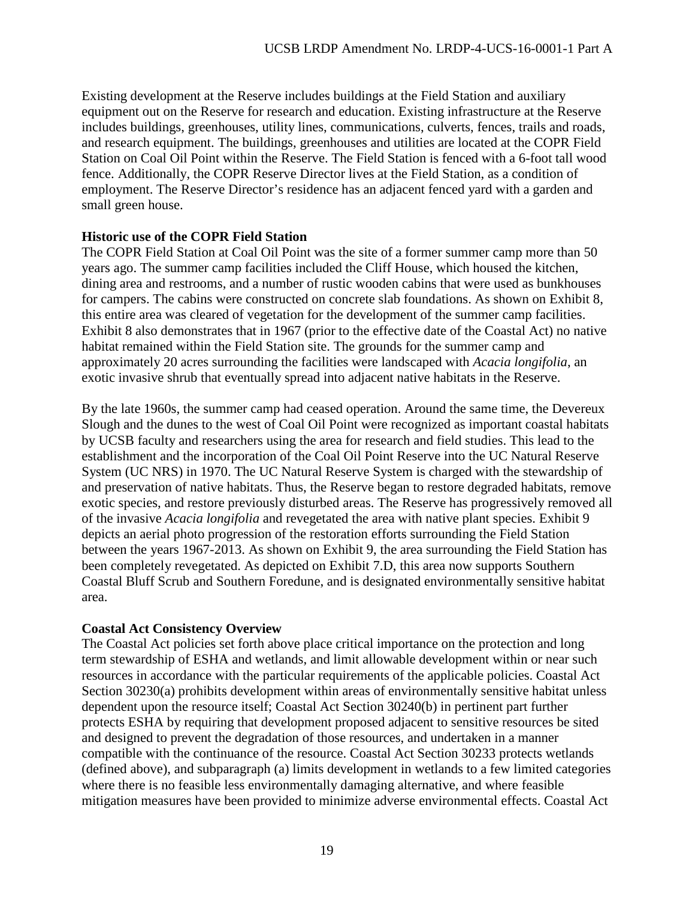Existing development at the Reserve includes buildings at the Field Station and auxiliary equipment out on the Reserve for research and education. Existing infrastructure at the Reserve includes buildings, greenhouses, utility lines, communications, culverts, fences, trails and roads, and research equipment. The buildings, greenhouses and utilities are located at the COPR Field Station on Coal Oil Point within the Reserve. The Field Station is fenced with a 6-foot tall wood fence. Additionally, the COPR Reserve Director lives at the Field Station, as a condition of employment. The Reserve Director's residence has an adjacent fenced yard with a garden and small green house.

### **Historic use of the COPR Field Station**

The COPR Field Station at Coal Oil Point was the site of a former summer camp more than 50 years ago. The summer camp facilities included the Cliff House, which housed the kitchen, dining area and restrooms, and a number of rustic wooden cabins that were used as bunkhouses for campers. The cabins were constructed on concrete slab foundations. As shown on Exhibit 8, this entire area was cleared of vegetation for the development of the summer camp facilities. Exhibit 8 also demonstrates that in 1967 (prior to the effective date of the Coastal Act) no native habitat remained within the Field Station site. The grounds for the summer camp and approximately 20 acres surrounding the facilities were landscaped with *Acacia longifolia*, an exotic invasive shrub that eventually spread into adjacent native habitats in the Reserve.

By the late 1960s, the summer camp had ceased operation. Around the same time, the Devereux Slough and the dunes to the west of Coal Oil Point were recognized as important coastal habitats by UCSB faculty and researchers using the area for research and field studies. This lead to the establishment and the incorporation of the Coal Oil Point Reserve into the UC Natural Reserve System (UC NRS) in 1970. The UC Natural Reserve System is charged with the stewardship of and preservation of native habitats. Thus, the Reserve began to restore degraded habitats, remove exotic species, and restore previously disturbed areas. The Reserve has progressively removed all of the invasive *Acacia longifolia* and revegetated the area with native plant species. Exhibit 9 depicts an aerial photo progression of the restoration efforts surrounding the Field Station between the years 1967-2013. As shown on Exhibit 9, the area surrounding the Field Station has been completely revegetated. As depicted on Exhibit 7.D, this area now supports Southern Coastal Bluff Scrub and Southern Foredune, and is designated environmentally sensitive habitat area.

### **Coastal Act Consistency Overview**

The Coastal Act policies set forth above place critical importance on the protection and long term stewardship of ESHA and wetlands, and limit allowable development within or near such resources in accordance with the particular requirements of the applicable policies. Coastal Act Section 30230(a) prohibits development within areas of environmentally sensitive habitat unless dependent upon the resource itself; Coastal Act Section 30240(b) in pertinent part further protects ESHA by requiring that development proposed adjacent to sensitive resources be sited and designed to prevent the degradation of those resources, and undertaken in a manner compatible with the continuance of the resource. Coastal Act Section 30233 protects wetlands (defined above), and subparagraph (a) limits development in wetlands to a few limited categories where there is no feasible less environmentally damaging alternative, and where feasible mitigation measures have been provided to minimize adverse environmental effects. Coastal Act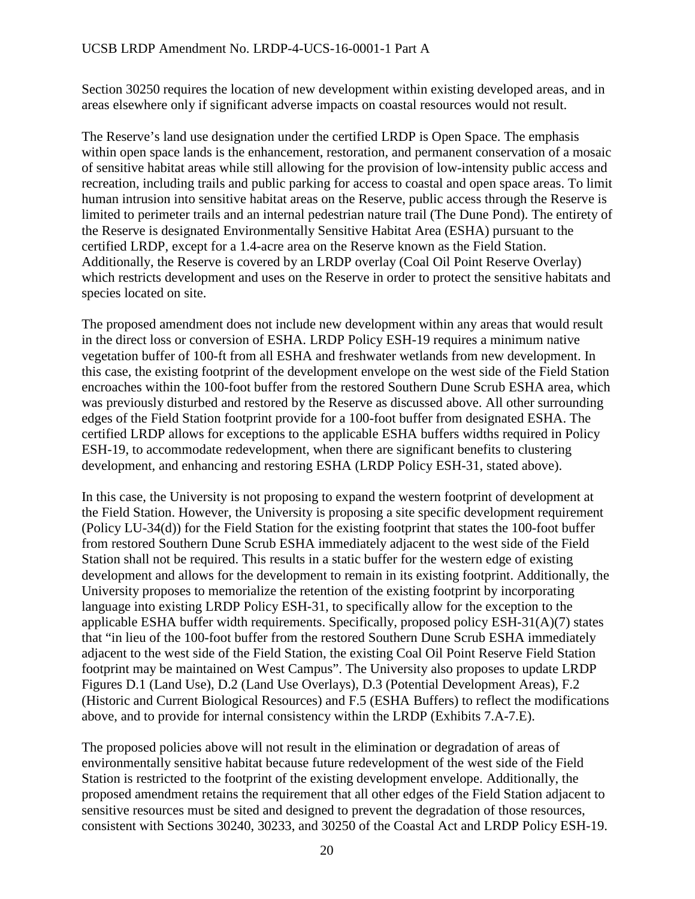Section 30250 requires the location of new development within existing developed areas, and in areas elsewhere only if significant adverse impacts on coastal resources would not result.

The Reserve's land use designation under the certified LRDP is Open Space. The emphasis within open space lands is the enhancement, restoration, and permanent conservation of a mosaic of sensitive habitat areas while still allowing for the provision of low-intensity public access and recreation, including trails and public parking for access to coastal and open space areas. To limit human intrusion into sensitive habitat areas on the Reserve, public access through the Reserve is limited to perimeter trails and an internal pedestrian nature trail (The Dune Pond). The entirety of the Reserve is designated Environmentally Sensitive Habitat Area (ESHA) pursuant to the certified LRDP, except for a 1.4-acre area on the Reserve known as the Field Station. Additionally, the Reserve is covered by an LRDP overlay (Coal Oil Point Reserve Overlay) which restricts development and uses on the Reserve in order to protect the sensitive habitats and species located on site.

The proposed amendment does not include new development within any areas that would result in the direct loss or conversion of ESHA. LRDP Policy ESH-19 requires a minimum native vegetation buffer of 100-ft from all ESHA and freshwater wetlands from new development. In this case, the existing footprint of the development envelope on the west side of the Field Station encroaches within the 100-foot buffer from the restored Southern Dune Scrub ESHA area, which was previously disturbed and restored by the Reserve as discussed above. All other surrounding edges of the Field Station footprint provide for a 100-foot buffer from designated ESHA. The certified LRDP allows for exceptions to the applicable ESHA buffers widths required in Policy ESH-19, to accommodate redevelopment, when there are significant benefits to clustering development, and enhancing and restoring ESHA (LRDP Policy ESH-31, stated above).

In this case, the University is not proposing to expand the western footprint of development at the Field Station. However, the University is proposing a site specific development requirement (Policy LU-34(d)) for the Field Station for the existing footprint that states the 100-foot buffer from restored Southern Dune Scrub ESHA immediately adjacent to the west side of the Field Station shall not be required. This results in a static buffer for the western edge of existing development and allows for the development to remain in its existing footprint. Additionally, the University proposes to memorialize the retention of the existing footprint by incorporating language into existing LRDP Policy ESH-31, to specifically allow for the exception to the applicable ESHA buffer width requirements. Specifically, proposed policy ESH-31(A)(7) states that "in lieu of the 100-foot buffer from the restored Southern Dune Scrub ESHA immediately adjacent to the west side of the Field Station, the existing Coal Oil Point Reserve Field Station footprint may be maintained on West Campus". The University also proposes to update LRDP Figures D.1 (Land Use), D.2 (Land Use Overlays), D.3 (Potential Development Areas), F.2 (Historic and Current Biological Resources) and F.5 (ESHA Buffers) to reflect the modifications above, and to provide for internal consistency within the LRDP (Exhibits 7.A-7.E).

The proposed policies above will not result in the elimination or degradation of areas of environmentally sensitive habitat because future redevelopment of the west side of the Field Station is restricted to the footprint of the existing development envelope. Additionally, the proposed amendment retains the requirement that all other edges of the Field Station adjacent to sensitive resources must be sited and designed to prevent the degradation of those resources, consistent with Sections 30240, 30233, and 30250 of the Coastal Act and LRDP Policy ESH-19.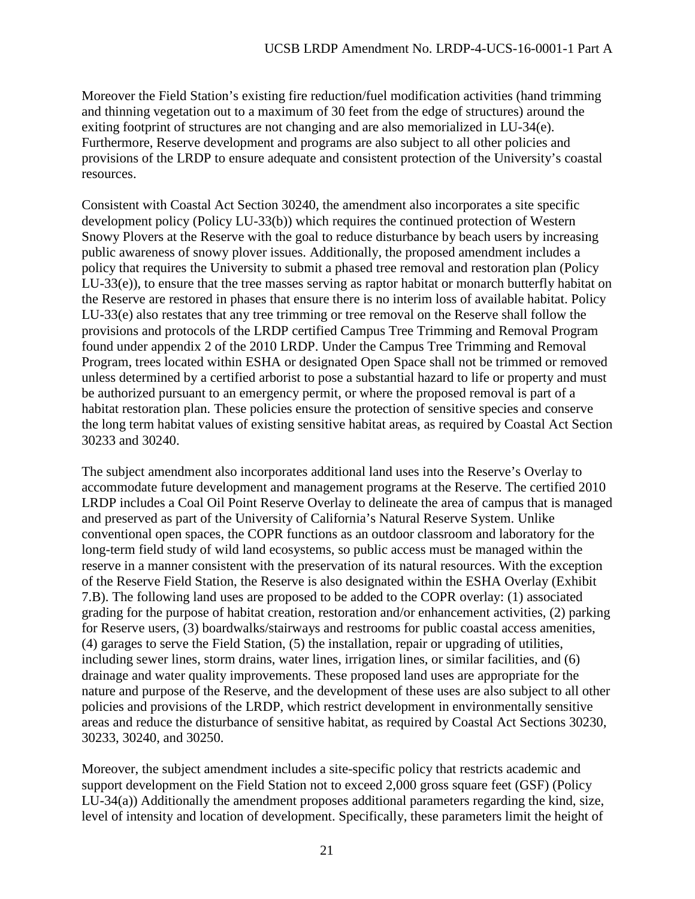Moreover the Field Station's existing fire reduction/fuel modification activities (hand trimming and thinning vegetation out to a maximum of 30 feet from the edge of structures) around the exiting footprint of structures are not changing and are also memorialized in LU-34(e). Furthermore, Reserve development and programs are also subject to all other policies and provisions of the LRDP to ensure adequate and consistent protection of the University's coastal resources.

Consistent with Coastal Act Section 30240, the amendment also incorporates a site specific development policy (Policy LU-33(b)) which requires the continued protection of Western Snowy Plovers at the Reserve with the goal to reduce disturbance by beach users by increasing public awareness of snowy plover issues. Additionally, the proposed amendment includes a policy that requires the University to submit a phased tree removal and restoration plan (Policy LU-33(e)), to ensure that the tree masses serving as raptor habitat or monarch butterfly habitat on the Reserve are restored in phases that ensure there is no interim loss of available habitat. Policy LU-33(e) also restates that any tree trimming or tree removal on the Reserve shall follow the provisions and protocols of the LRDP certified Campus Tree Trimming and Removal Program found under appendix 2 of the 2010 LRDP. Under the Campus Tree Trimming and Removal Program, trees located within ESHA or designated Open Space shall not be trimmed or removed unless determined by a certified arborist to pose a substantial hazard to life or property and must be authorized pursuant to an emergency permit, or where the proposed removal is part of a habitat restoration plan. These policies ensure the protection of sensitive species and conserve the long term habitat values of existing sensitive habitat areas, as required by Coastal Act Section 30233 and 30240.

The subject amendment also incorporates additional land uses into the Reserve's Overlay to accommodate future development and management programs at the Reserve. The certified 2010 LRDP includes a Coal Oil Point Reserve Overlay to delineate the area of campus that is managed and preserved as part of the University of California's Natural Reserve System. Unlike conventional open spaces, the COPR functions as an outdoor classroom and laboratory for the long-term field study of wild land ecosystems, so public access must be managed within the reserve in a manner consistent with the preservation of its natural resources. With the exception of the Reserve Field Station, the Reserve is also designated within the ESHA Overlay (Exhibit 7.B). The following land uses are proposed to be added to the COPR overlay: (1) associated grading for the purpose of habitat creation, restoration and/or enhancement activities, (2) parking for Reserve users, (3) boardwalks/stairways and restrooms for public coastal access amenities, (4) garages to serve the Field Station, (5) the installation, repair or upgrading of utilities, including sewer lines, storm drains, water lines, irrigation lines, or similar facilities, and (6) drainage and water quality improvements. These proposed land uses are appropriate for the nature and purpose of the Reserve, and the development of these uses are also subject to all other policies and provisions of the LRDP, which restrict development in environmentally sensitive areas and reduce the disturbance of sensitive habitat, as required by Coastal Act Sections 30230, 30233, 30240, and 30250.

Moreover, the subject amendment includes a site-specific policy that restricts academic and support development on the Field Station not to exceed 2,000 gross square feet (GSF) (Policy LU-34(a)) Additionally the amendment proposes additional parameters regarding the kind, size, level of intensity and location of development. Specifically, these parameters limit the height of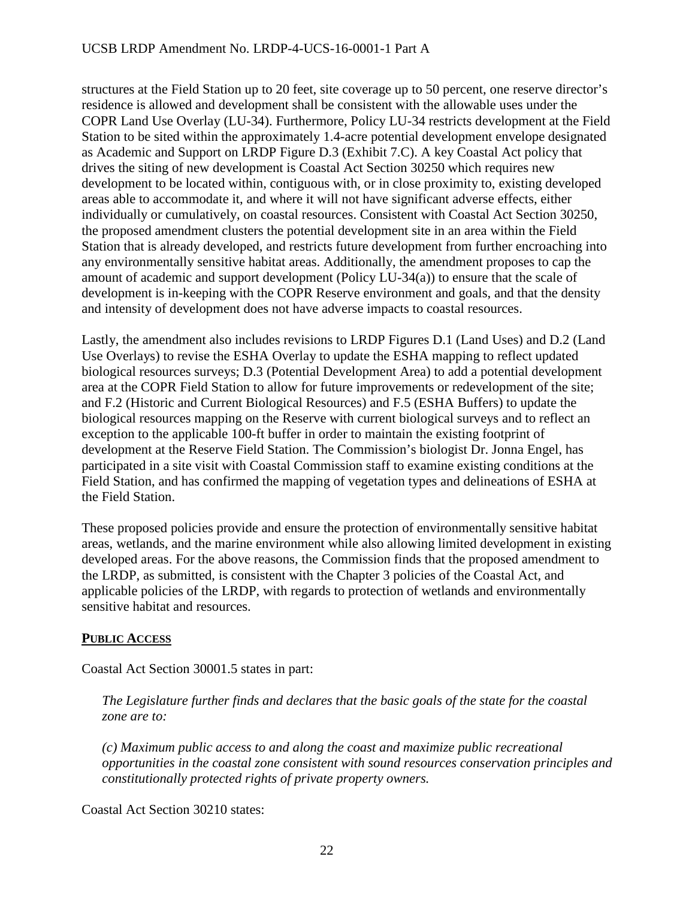structures at the Field Station up to 20 feet, site coverage up to 50 percent, one reserve director's residence is allowed and development shall be consistent with the allowable uses under the COPR Land Use Overlay (LU-34). Furthermore, Policy LU-34 restricts development at the Field Station to be sited within the approximately 1.4-acre potential development envelope designated as Academic and Support on LRDP Figure D.3 (Exhibit 7.C). A key Coastal Act policy that drives the siting of new development is Coastal Act Section 30250 which requires new development to be located within, contiguous with, or in close proximity to, existing developed areas able to accommodate it, and where it will not have significant adverse effects, either individually or cumulatively, on coastal resources. Consistent with Coastal Act Section 30250, the proposed amendment clusters the potential development site in an area within the Field Station that is already developed, and restricts future development from further encroaching into any environmentally sensitive habitat areas. Additionally, the amendment proposes to cap the amount of academic and support development (Policy LU-34(a)) to ensure that the scale of development is in-keeping with the COPR Reserve environment and goals, and that the density and intensity of development does not have adverse impacts to coastal resources.

Lastly, the amendment also includes revisions to LRDP Figures D.1 (Land Uses) and D.2 (Land Use Overlays) to revise the ESHA Overlay to update the ESHA mapping to reflect updated biological resources surveys; D.3 (Potential Development Area) to add a potential development area at the COPR Field Station to allow for future improvements or redevelopment of the site; and F.2 (Historic and Current Biological Resources) and F.5 (ESHA Buffers) to update the biological resources mapping on the Reserve with current biological surveys and to reflect an exception to the applicable 100-ft buffer in order to maintain the existing footprint of development at the Reserve Field Station. The Commission's biologist Dr. Jonna Engel, has participated in a site visit with Coastal Commission staff to examine existing conditions at the Field Station, and has confirmed the mapping of vegetation types and delineations of ESHA at the Field Station.

These proposed policies provide and ensure the protection of environmentally sensitive habitat areas, wetlands, and the marine environment while also allowing limited development in existing developed areas. For the above reasons, the Commission finds that the proposed amendment to the LRDP, as submitted, is consistent with the Chapter 3 policies of the Coastal Act, and applicable policies of the LRDP, with regards to protection of wetlands and environmentally sensitive habitat and resources.

# **PUBLIC ACCESS**

Coastal Act Section 30001.5 states in part:

*The Legislature further finds and declares that the basic goals of the state for the coastal zone are to:* 

*(c) Maximum public access to and along the coast and maximize public recreational opportunities in the coastal zone consistent with sound resources conservation principles and constitutionally protected rights of private property owners.* 

Coastal Act Section 30210 states: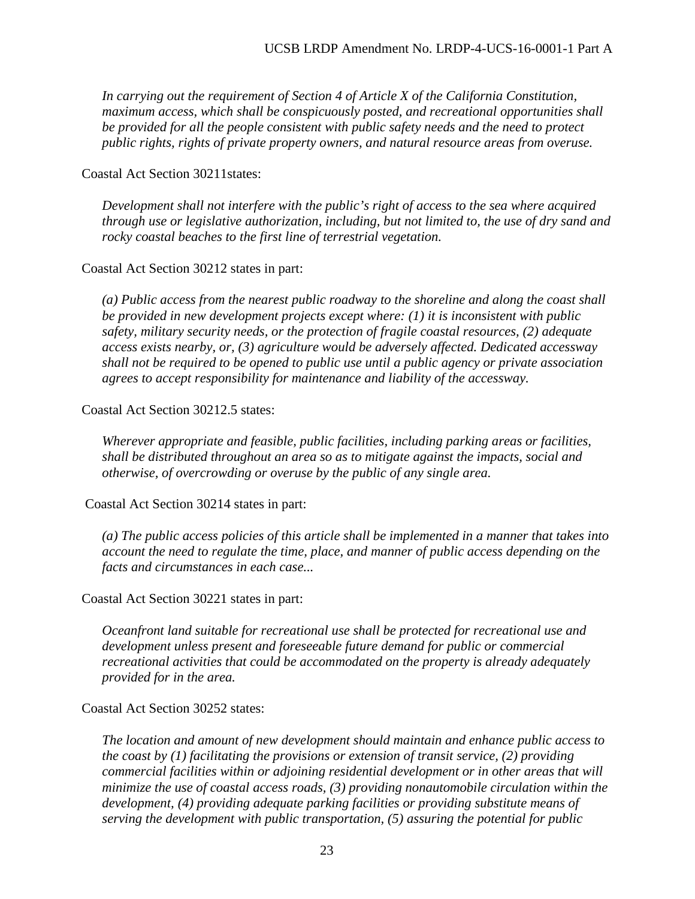*In carrying out the requirement of Section 4 of Article X of the California Constitution, maximum access, which shall be conspicuously posted, and recreational opportunities shall be provided for all the people consistent with public safety needs and the need to protect public rights, rights of private property owners, and natural resource areas from overuse.* 

Coastal Act Section 30211states:

*Development shall not interfere with the public's right of access to the sea where acquired through use or legislative authorization, including, but not limited to, the use of dry sand and rocky coastal beaches to the first line of terrestrial vegetation.* 

Coastal Act Section 30212 states in part:

*(a) Public access from the nearest public roadway to the shoreline and along the coast shall be provided in new development projects except where: (1) it is inconsistent with public safety, military security needs, or the protection of fragile coastal resources, (2) adequate access exists nearby, or, (3) agriculture would be adversely affected. Dedicated accessway shall not be required to be opened to public use until a public agency or private association agrees to accept responsibility for maintenance and liability of the accessway.* 

Coastal Act Section 30212.5 states:

*Wherever appropriate and feasible, public facilities, including parking areas or facilities, shall be distributed throughout an area so as to mitigate against the impacts, social and otherwise, of overcrowding or overuse by the public of any single area.* 

Coastal Act Section 30214 states in part:

*(a) The public access policies of this article shall be implemented in a manner that takes into account the need to regulate the time, place, and manner of public access depending on the facts and circumstances in each case...* 

Coastal Act Section 30221 states in part:

*Oceanfront land suitable for recreational use shall be protected for recreational use and development unless present and foreseeable future demand for public or commercial recreational activities that could be accommodated on the property is already adequately provided for in the area.* 

Coastal Act Section 30252 states:

*The location and amount of new development should maintain and enhance public access to the coast by (1) facilitating the provisions or extension of transit service, (2) providing commercial facilities within or adjoining residential development or in other areas that will minimize the use of coastal access roads, (3) providing nonautomobile circulation within the development, (4) providing adequate parking facilities or providing substitute means of serving the development with public transportation, (5) assuring the potential for public*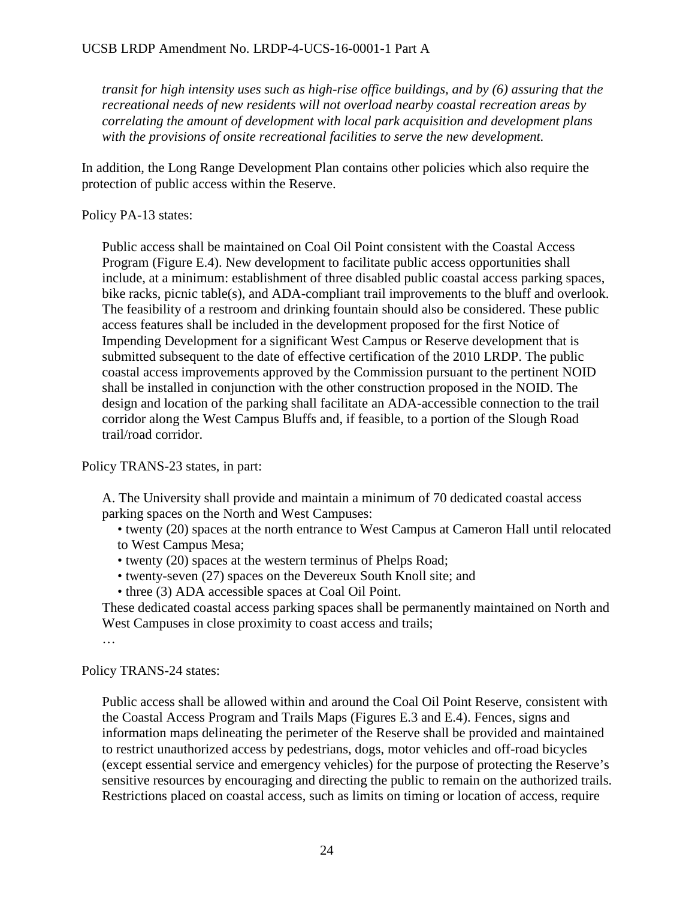*transit for high intensity uses such as high-rise office buildings, and by (6) assuring that the recreational needs of new residents will not overload nearby coastal recreation areas by correlating the amount of development with local park acquisition and development plans with the provisions of onsite recreational facilities to serve the new development.* 

In addition, the Long Range Development Plan contains other policies which also require the protection of public access within the Reserve.

Policy PA-13 states:

Public access shall be maintained on Coal Oil Point consistent with the Coastal Access Program (Figure E.4). New development to facilitate public access opportunities shall include, at a minimum: establishment of three disabled public coastal access parking spaces, bike racks, picnic table(s), and ADA-compliant trail improvements to the bluff and overlook. The feasibility of a restroom and drinking fountain should also be considered. These public access features shall be included in the development proposed for the first Notice of Impending Development for a significant West Campus or Reserve development that is submitted subsequent to the date of effective certification of the 2010 LRDP. The public coastal access improvements approved by the Commission pursuant to the pertinent NOID shall be installed in conjunction with the other construction proposed in the NOID. The design and location of the parking shall facilitate an ADA-accessible connection to the trail corridor along the West Campus Bluffs and, if feasible, to a portion of the Slough Road trail/road corridor.

Policy TRANS-23 states, in part:

A. The University shall provide and maintain a minimum of 70 dedicated coastal access parking spaces on the North and West Campuses:

• twenty (20) spaces at the north entrance to West Campus at Cameron Hall until relocated to West Campus Mesa;

- twenty (20) spaces at the western terminus of Phelps Road;
- twenty-seven (27) spaces on the Devereux South Knoll site; and
- three (3) ADA accessible spaces at Coal Oil Point.

These dedicated coastal access parking spaces shall be permanently maintained on North and West Campuses in close proximity to coast access and trails;

…

Policy TRANS-24 states:

Public access shall be allowed within and around the Coal Oil Point Reserve, consistent with the Coastal Access Program and Trails Maps (Figures E.3 and E.4). Fences, signs and information maps delineating the perimeter of the Reserve shall be provided and maintained to restrict unauthorized access by pedestrians, dogs, motor vehicles and off-road bicycles (except essential service and emergency vehicles) for the purpose of protecting the Reserve's sensitive resources by encouraging and directing the public to remain on the authorized trails. Restrictions placed on coastal access, such as limits on timing or location of access, require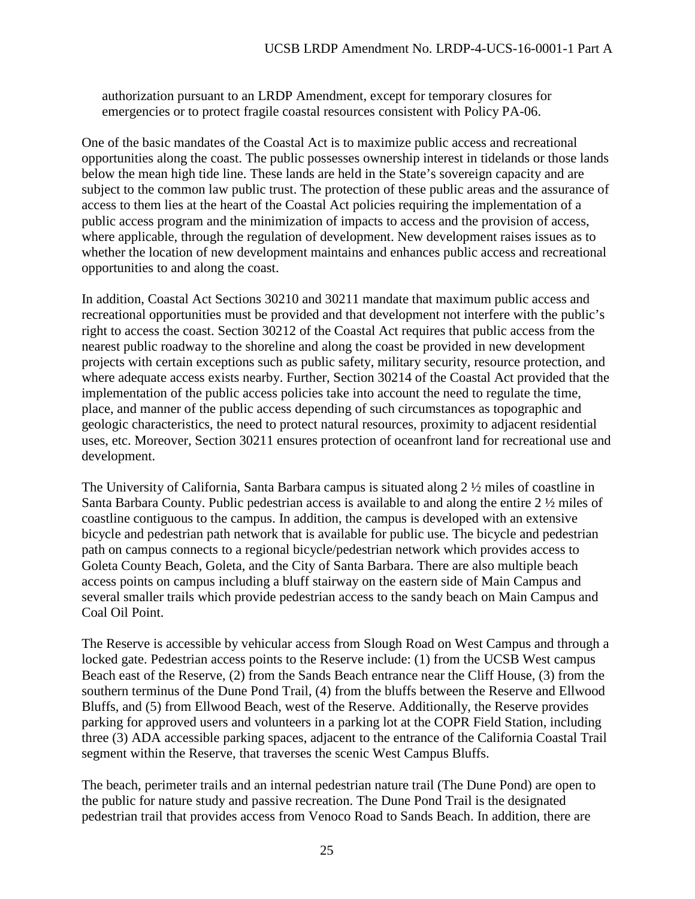authorization pursuant to an LRDP Amendment, except for temporary closures for emergencies or to protect fragile coastal resources consistent with Policy PA-06.

One of the basic mandates of the Coastal Act is to maximize public access and recreational opportunities along the coast. The public possesses ownership interest in tidelands or those lands below the mean high tide line. These lands are held in the State's sovereign capacity and are subject to the common law public trust. The protection of these public areas and the assurance of access to them lies at the heart of the Coastal Act policies requiring the implementation of a public access program and the minimization of impacts to access and the provision of access, where applicable, through the regulation of development. New development raises issues as to whether the location of new development maintains and enhances public access and recreational opportunities to and along the coast.

In addition, Coastal Act Sections 30210 and 30211 mandate that maximum public access and recreational opportunities must be provided and that development not interfere with the public's right to access the coast. Section 30212 of the Coastal Act requires that public access from the nearest public roadway to the shoreline and along the coast be provided in new development projects with certain exceptions such as public safety, military security, resource protection, and where adequate access exists nearby. Further, Section 30214 of the Coastal Act provided that the implementation of the public access policies take into account the need to regulate the time, place, and manner of the public access depending of such circumstances as topographic and geologic characteristics, the need to protect natural resources, proximity to adjacent residential uses, etc. Moreover, Section 30211 ensures protection of oceanfront land for recreational use and development.

The University of California, Santa Barbara campus is situated along 2 ½ miles of coastline in Santa Barbara County. Public pedestrian access is available to and along the entire 2 ½ miles of coastline contiguous to the campus. In addition, the campus is developed with an extensive bicycle and pedestrian path network that is available for public use. The bicycle and pedestrian path on campus connects to a regional bicycle/pedestrian network which provides access to Goleta County Beach, Goleta, and the City of Santa Barbara. There are also multiple beach access points on campus including a bluff stairway on the eastern side of Main Campus and several smaller trails which provide pedestrian access to the sandy beach on Main Campus and Coal Oil Point.

The Reserve is accessible by vehicular access from Slough Road on West Campus and through a locked gate. Pedestrian access points to the Reserve include: (1) from the UCSB West campus Beach east of the Reserve, (2) from the Sands Beach entrance near the Cliff House, (3) from the southern terminus of the Dune Pond Trail, (4) from the bluffs between the Reserve and Ellwood Bluffs, and (5) from Ellwood Beach, west of the Reserve. Additionally, the Reserve provides parking for approved users and volunteers in a parking lot at the COPR Field Station, including three (3) ADA accessible parking spaces, adjacent to the entrance of the California Coastal Trail segment within the Reserve, that traverses the scenic West Campus Bluffs.

The beach, perimeter trails and an internal pedestrian nature trail (The Dune Pond) are open to the public for nature study and passive recreation. The Dune Pond Trail is the designated pedestrian trail that provides access from Venoco Road to Sands Beach. In addition, there are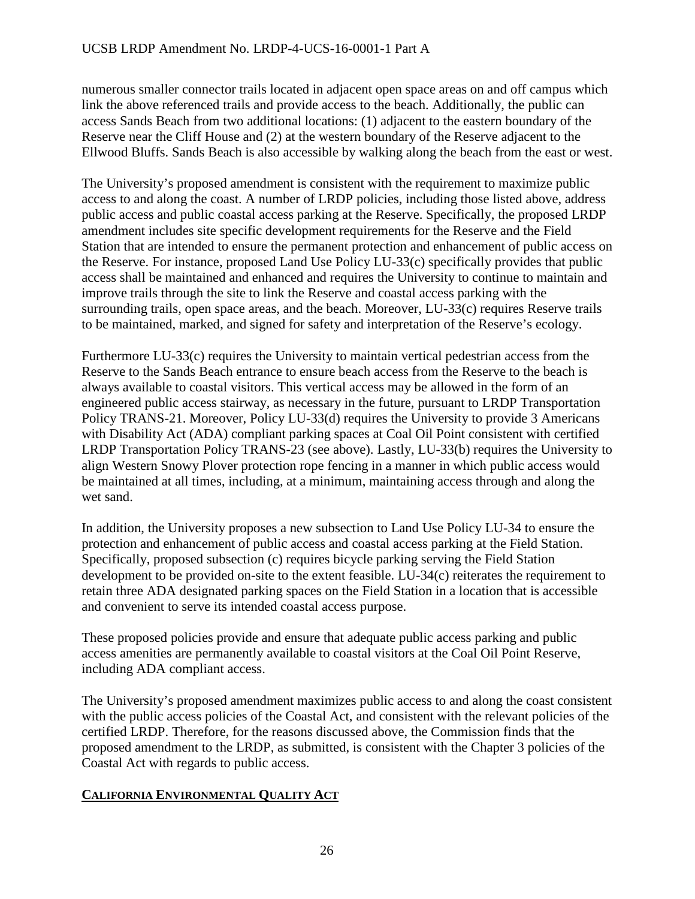numerous smaller connector trails located in adjacent open space areas on and off campus which link the above referenced trails and provide access to the beach. Additionally, the public can access Sands Beach from two additional locations: (1) adjacent to the eastern boundary of the Reserve near the Cliff House and (2) at the western boundary of the Reserve adjacent to the Ellwood Bluffs. Sands Beach is also accessible by walking along the beach from the east or west.

The University's proposed amendment is consistent with the requirement to maximize public access to and along the coast. A number of LRDP policies, including those listed above, address public access and public coastal access parking at the Reserve. Specifically, the proposed LRDP amendment includes site specific development requirements for the Reserve and the Field Station that are intended to ensure the permanent protection and enhancement of public access on the Reserve. For instance, proposed Land Use Policy LU-33(c) specifically provides that public access shall be maintained and enhanced and requires the University to continue to maintain and improve trails through the site to link the Reserve and coastal access parking with the surrounding trails, open space areas, and the beach. Moreover, LU-33(c) requires Reserve trails to be maintained, marked, and signed for safety and interpretation of the Reserve's ecology.

Furthermore LU-33(c) requires the University to maintain vertical pedestrian access from the Reserve to the Sands Beach entrance to ensure beach access from the Reserve to the beach is always available to coastal visitors. This vertical access may be allowed in the form of an engineered public access stairway, as necessary in the future, pursuant to LRDP Transportation Policy TRANS-21. Moreover, Policy LU-33(d) requires the University to provide 3 Americans with Disability Act (ADA) compliant parking spaces at Coal Oil Point consistent with certified LRDP Transportation Policy TRANS-23 (see above). Lastly, LU-33(b) requires the University to align Western Snowy Plover protection rope fencing in a manner in which public access would be maintained at all times, including, at a minimum, maintaining access through and along the wet sand.

In addition, the University proposes a new subsection to Land Use Policy LU-34 to ensure the protection and enhancement of public access and coastal access parking at the Field Station. Specifically, proposed subsection (c) requires bicycle parking serving the Field Station development to be provided on-site to the extent feasible. LU-34(c) reiterates the requirement to retain three ADA designated parking spaces on the Field Station in a location that is accessible and convenient to serve its intended coastal access purpose.

These proposed policies provide and ensure that adequate public access parking and public access amenities are permanently available to coastal visitors at the Coal Oil Point Reserve, including ADA compliant access.

The University's proposed amendment maximizes public access to and along the coast consistent with the public access policies of the Coastal Act, and consistent with the relevant policies of the certified LRDP. Therefore, for the reasons discussed above, the Commission finds that the proposed amendment to the LRDP, as submitted, is consistent with the Chapter 3 policies of the Coastal Act with regards to public access.

# **CALIFORNIA ENVIRONMENTAL QUALITY ACT**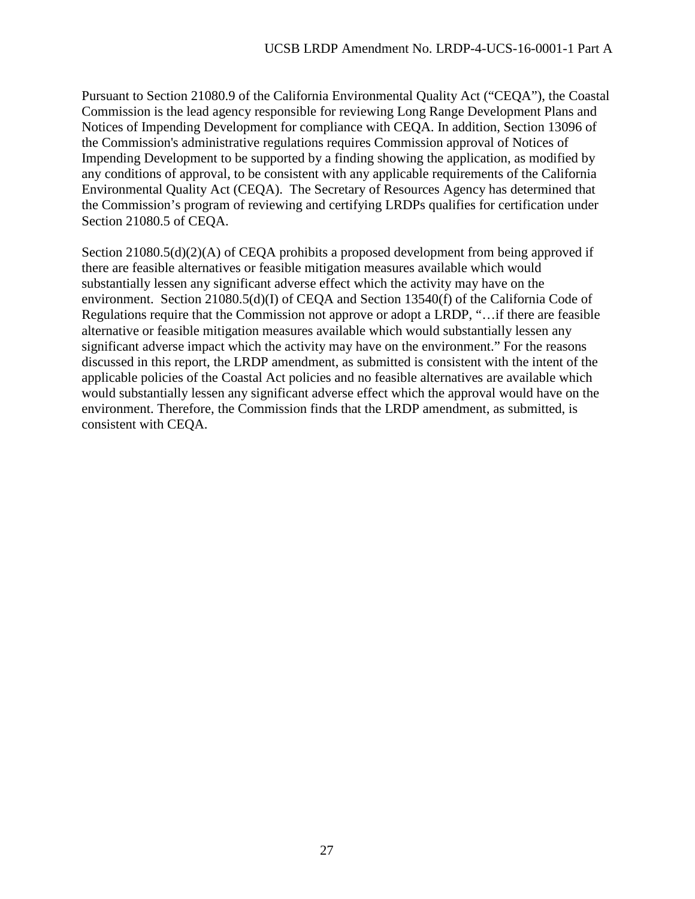Pursuant to Section 21080.9 of the California Environmental Quality Act ("CEQA"), the Coastal Commission is the lead agency responsible for reviewing Long Range Development Plans and Notices of Impending Development for compliance with CEQA. In addition, Section 13096 of the Commission's administrative regulations requires Commission approval of Notices of Impending Development to be supported by a finding showing the application, as modified by any conditions of approval, to be consistent with any applicable requirements of the California Environmental Quality Act (CEQA). The Secretary of Resources Agency has determined that the Commission's program of reviewing and certifying LRDPs qualifies for certification under Section 21080.5 of CEQA.

Section 21080.5(d)(2)(A) of CEQA prohibits a proposed development from being approved if there are feasible alternatives or feasible mitigation measures available which would substantially lessen any significant adverse effect which the activity may have on the environment. Section 21080.5(d)(I) of CEQA and Section 13540(f) of the California Code of Regulations require that the Commission not approve or adopt a LRDP, "…if there are feasible alternative or feasible mitigation measures available which would substantially lessen any significant adverse impact which the activity may have on the environment." For the reasons discussed in this report, the LRDP amendment, as submitted is consistent with the intent of the applicable policies of the Coastal Act policies and no feasible alternatives are available which would substantially lessen any significant adverse effect which the approval would have on the environment. Therefore, the Commission finds that the LRDP amendment, as submitted, is consistent with CEQA.